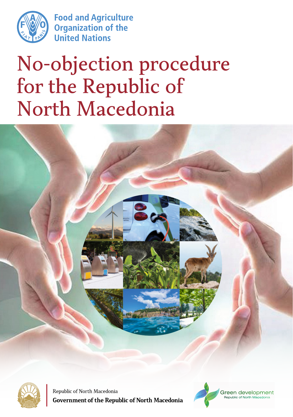

**Food and Agriculture Organization of the United Nations** 

# No-objection procedure for the Republic of North Macedonia





Republic of North Macedonia **Government of the Republic of North Macedonia** 

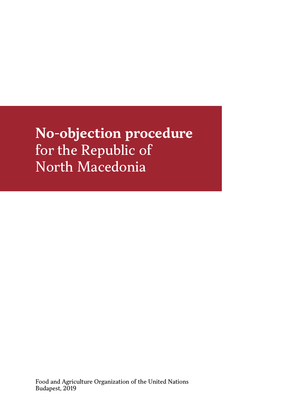**No-objection procedure**  for the Republic of North Macedonia

Food and Agriculture Organization of the United Nations Budapest, 2019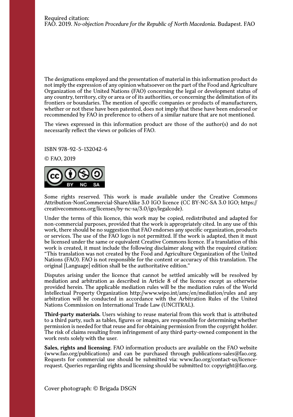The designations employed and the presentation of material in this information product do not imply the expression of any opinion whatsoever on the part of the Food and Agriculture Organization of the United Nations (FAO) concerning the legal or development status of any country, territory, city or area or of its authorities, or concerning the delimitation of its frontiers or boundaries. The mention of specific companies or products of manufacturers, whether or not these have been patented, does not imply that these have been endorsed or recommended by FAO in preference to others of a similar nature that are not mentioned.

The views expressed in this information product are those of the author(s) and do not necessarily reflect the views or policies of FAO.

ISBN 978-92-5-132042-6

© FAO, 2019



Some rights reserved. This work is made available under the Creative Commons Attribution-NonCommercial-ShareAlike 3.0 IGO licence (CC BY-NC-SA 3.0 IGO; https:// creativecommons.org/licenses/by-nc-sa/3.0/igo/legalcode).

Under the terms of this licence, this work may be copied, redistributed and adapted for non-commercial purposes, provided that the work is appropriately cited. In any use of this work, there should be no suggestion that FAO endorses any specific organization, products or services. The use of the FAO logo is not permitted. If the work is adapted, then it must be licensed under the same or equivalent Creative Commons licence. If a translation of this work is created, it must include the following disclaimer along with the required citation: "This translation was not created by the Food and Agriculture Organization of the United Nations (FAO). FAO is not responsible for the content or accuracy of this translation. The original [Language] edition shall be the authoritative edition."

Disputes arising under the licence that cannot be settled amicably will be resolved by mediation and arbitration as described in Article 8 of the licence except as otherwise provided herein. The applicable mediation rules will be the mediation rules of the World Intellectual Property Organization http://www.wipo.int/amc/en/mediation/rules and any arbitration will be conducted in accordance with the Arbitration Rules of the United Nations Commission on International Trade Law (UNCITRAL).

**Third-party materials.** Users wishing to reuse material from this work that is attributed to a third party, such as tables, figures or images, are responsible for determining whether permission is needed for that reuse and for obtaining permission from the copyright holder. The risk of claims resulting from infringement of any third-party-owned component in the work rests solely with the user.

**Sales, rights and licensing**. FAO information products are available on the FAO website (www.fao.org/publications) and can be purchased through publications-sales@fao.org. Requests for commercial use should be submitted via: www.fao.org/contact-us/licencerequest. Queries regarding rights and licensing should be submitted to: copyright@fao.org.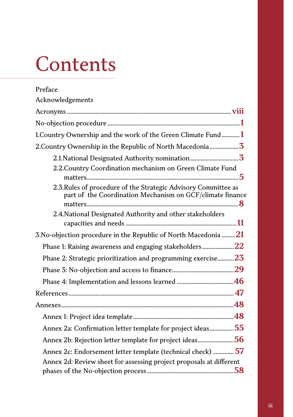# **Contents**

| Preface                                                                                                                            |
|------------------------------------------------------------------------------------------------------------------------------------|
| Acknowledgements                                                                                                                   |
|                                                                                                                                    |
|                                                                                                                                    |
| 1. Country Ownership and the work of the Green Climate Fund 1                                                                      |
| 2. Country Ownership in the Republic of North Macedonia  3                                                                         |
|                                                                                                                                    |
| 2.2. Country Coordination mechanism on Green Climate Fund                                                                          |
| 2.3. Rules of procedure of the Strategic Advisory Committee as<br>part of the Coordination Mechanism on GCF/climate finance        |
| 2.4. National Designated Authority and other stakeholders                                                                          |
| 3. No-objection procedure in the Republic of North Macedonia $21$                                                                  |
| Phase 1: Raising awareness and engaging stakeholders22                                                                             |
| Phase 2: Strategic prioritization and programming exercise 23                                                                      |
|                                                                                                                                    |
|                                                                                                                                    |
|                                                                                                                                    |
|                                                                                                                                    |
|                                                                                                                                    |
| Annex 2a: Confirmation letter template for project ideas55                                                                         |
| Annex 2b: Rejection letter template for project ideas56                                                                            |
| Annex 2c: Endorsement letter template (technical check)  57<br>Annex 2d: Review sheet for assessing project proposals at different |
|                                                                                                                                    |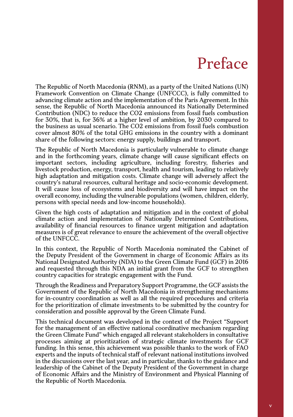# Preface

The Republic of North Macedonia (RNM), as a party of the United Nations (UN) Framework Convention on Climate Change (UNFCCC), is fully committed to advancing climate action and the implementation of the Paris Agreement. In this sense, the Republic of North Macedonia announced its Nationally Determined Contribution (NDC) to reduce the CO2 emissions from fossil fuels combustion for 30%, that is, for 36% at a higher level of ambition, by 2030 compared to the business as usual scenario. The CO2 emissions from fossil fuels combustion cover almost 80% of the total GHG emissions in the country with a dominant share of the following sectors: energy supply, buildings and transport.

The Republic of North Macedonia is particularly vulnerable to climate change and in the forthcoming years, climate change will cause significant effects on important sectors, including agriculture, including forestry, fisheries and livestock production, energy, transport, health and tourism, leading to relatively high adaptation and mitigation costs. Climate change will adversely affect the country's natural resources, cultural heritage and socio-economic development. It will cause loss of ecosystems and biodiversity and will have impact on the overall economy, including the vulnerable populations (women, children, elderly, persons with special needs and low-income households).

Given the high costs of adaptation and mitigation and in the context of global climate action and implementation of Nationally Determined Contributions, availability of financial resources to finance urgent mitigation and adaptation measures is of great relevance to ensure the achievement of the overall objective of the UNFCCC.

In this context, the Republic of North Macedonia nominated the Cabinet of the Deputy President of the Government in charge of Economic Affairs as its National Designated Authority (NDA) to the Green Climate Fund (GCF) in 2016 and requested through this NDA an initial grant from the GCF to strengthen country capacities for strategic engagement with the Fund.

Through the Readiness and Preparatory Support Programme, the GCF assists the Government of the Republic of North Macedonia in strengthening mechanisms for in-country coordination as well as all the required procedures and criteria for the prioritization of climate investments to be submitted by the country for consideration and possible approval by the Green Climate Fund.

This technical document was developed in the context of the Project "Support for the management of an effective national coordinative mechanism regarding the Green Climate Fund" which engaged all relevant stakeholders in consultative processes aiming at prioritization of strategic climate investments for GCF funding. In this sense, this achievement was possible thanks to the work of FAO experts and the inputs of technical staff of relevant national institutions involved in the discussions over the last year, and in particular, thanks to the guidance and leadership of the Cabinet of the Deputy President of the Government in charge of Economic Affairs and the Ministry of Environment and Physical Planning of the Republic of North Macedonia.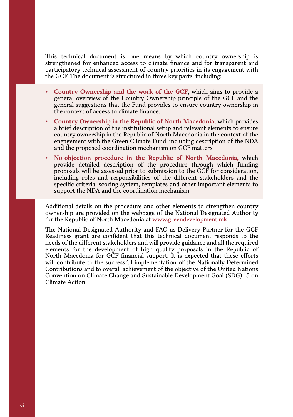This technical document is one means by which country ownership is strengthened for enhanced access to climate finance and for transparent and participatory technical assessment of country priorities in its engagement with the GCF. The document is structured in three key parts, including:

- y **Country Ownership and the work of the GCF**, which aims to provide a general overview of the Country Ownership principle of the GCF and the general suggestions that the Fund provides to ensure country ownership in the context of access to climate finance.
- y **Country Ownership in the Republic of North Macedonia,** which provides a brief description of the institutional setup and relevant elements to ensure country ownership in the Republic of North Macedonia in the context of the engagement with the Green Climate Fund, including description of the NDA and the proposed coordination mechanism on GCF matters.
- y **No-objection procedure in the Republic of North Macedonia,** which provide detailed description of the procedure through which funding proposals will be assessed prior to submission to the GCF for consideration, including roles and responsibilities of the different stakeholders and the specific criteria, scoring system, templates and other important elements to support the NDA and the coordination mechanism.

Additional details on the procedure and other elements to strengthen country ownership are provided on the webpage of the National Designated Authority for the Republic of North Macedonia at www.greendevelopment.mk

The National Designated Authority and FAO as Delivery Partner for the GCF Readiness grant are confident that this technical document responds to the needs of the different stakeholders and will provide guidance and all the required elements for the development of high quality proposals in the Republic of North Macedonia for GCF financial support. It is expected that these efforts will contribute to the successful implementation of the Nationally Determined Contributions and to overall achievement of the objective of the United Nations Convention on Climate Change and Sustainable Development Goal (SDG) 13 on Climate Action.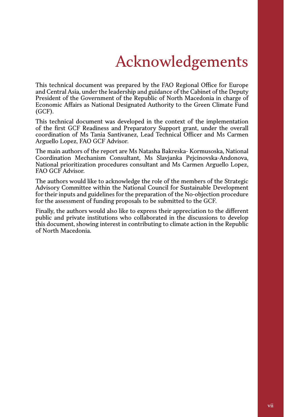# Acknowledgements

This technical document was prepared by the FAO Regional Office for Europe and Central Asia, under the leadership and guidance of the Cabinet of the Deputy President of the Government of the Republic of North Macedonia in charge of Economic Affairs as National Designated Authority to the Green Climate Fund (GCF).

This technical document was developed in the context of the implementation of the first GCF Readiness and Preparatory Support grant, under the overall coordination of Ms Tania Santivanez, Lead Technical Officer and Ms Carmen Arguello Lopez, FAO GCF Advisor.

The main authors of the report are Ms Natasha Bakreska- Kormusoska, National Coordination Mechanism Consultant, Ms Slavjanka Pejcinovska-Andonova, National prioritization procedures consultant and Ms Carmen Arguello Lopez, FAO GCF Advisor.

The authors would like to acknowledge the role of the members of the Strategic Advisory Committee within the National Council for Sustainable Development for their inputs and guidelines for the preparation of the No-objection procedure for the assessment of funding proposals to be submitted to the GCF.

Finally, the authors would also like to express their appreciation to the different public and private institutions who collaborated in the discussions to develop this document, showing interest in contributing to climate action in the Republic of North Macedonia.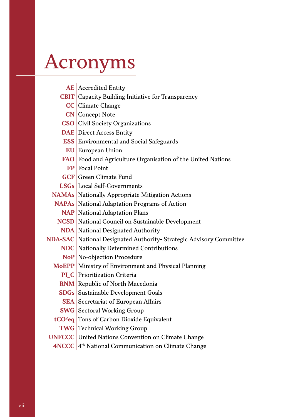# Acronyms

| <b>AE</b> Accredited Entity                                         |
|---------------------------------------------------------------------|
| <b>CBIT</b> Capacity Building Initiative for Transparency           |
| CC Climate Change                                                   |
| <b>CN</b> Concept Note                                              |
| <b>CSO</b> Civil Society Organizations                              |
| <b>DAE</b> Direct Access Entity                                     |
| <b>ESS</b> Environmental and Social Safeguards                      |
| <b>EU</b> European Union                                            |
| FAO Food and Agriculture Organisation of the United Nations         |
| FP Focal Point                                                      |
| <b>GCF</b> Green Climate Fund                                       |
| <b>LSGs</b> Local Self-Governments                                  |
| <b>NAMAs</b> Nationally Appropriate Mitigation Actions              |
| <b>NAPAs</b> National Adaptation Programs of Action                 |
| <b>NAP</b> National Adaptation Plans                                |
| NCSD National Council on Sustainable Development                    |
| <b>NDA</b> National Designated Authority                            |
| NDA-SAC National Designated Authority- Strategic Advisory Committee |
| <b>NDC</b> Nationally Determined Contributions                      |
| NoP No-objection Procedure                                          |
| MoEPP Ministry of Environment and Physical Planning                 |
| PLC Prioritization Criteria                                         |
| RNM Republic of North Macedonia                                     |
| <b>SDGs</b> Sustainable Development Goals                           |
| <b>SEA</b> Secretariat of European Affairs                          |
| <b>SWG</b> Sectoral Working Group                                   |
| tCO <sup>2</sup> eq Tons of Carbon Dioxide Equivalent               |
| <b>TWG</b> Technical Working Group                                  |
| <b>UNFCCC</b> United Nations Convention on Climate Change           |

**4NCCC** 4<sup>th</sup> National Communication on Climate Change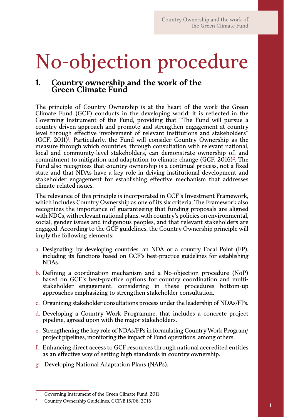# No-objection procedure

# **1. Country ownership and the work of the Green Climate Fund**

The principle of Country Ownership is at the heart of the work the Green Climate Fund (GCF) conducts in the developing world; it is reflected in the Governing Instrument of the Fund, providing that "The Fund will pursue a country-driven approach and promote and strengthen engagement at country level through effective involvement of relevant institutions and stakeholders" (GCF, 2011)<sup>1</sup>. Particularly, the Fund will consider Country Ownership as the measure through which countries, through consultation with relevant national, local and community-level stakeholders, can demonstrate ownership of, and commitment to mitigation and adaptation to climate change  $(GCF, 2016)^2$ . The Fund also recognizes that country ownership is a continual process, not a fixed state and that NDAs have a key role in driving institutional development and stakeholder engagement for establishing effective mechanism that addresses climate-related issues.

The relevance of this principle is incorporated in GCF's Investment Framework, which includes Country Ownership as one of its six criteria. The Framework also recognizes the importance of guaranteeing that funding proposals are aligned with NDCs, with relevant national plans, with country's policies on environmental, social, gender issues and indigenous peoples, and that relevant stakeholders are engaged. According to the GCF guidelines, the Country Ownership principle will imply the following elements:

- a. Designating, by developing countries, an NDA or a country Focal Point (FP), including its functions based on GCF's best-practice guidelines for establishing NDAs.
- b. Defining a coordination mechanism and a No-objection procedure (NoP) based on GCF's best-practice options for country coordination and multistakeholder engagement, considering in these procedures bottom-up approaches emphasizing to strengthen stakeholder consultation.
- c. Organizing stakeholder consultations process under the leadership of NDAs/FPs.
- d. Developing a Country Work Programme, that includes a concrete project pipeline, agreed upon with the major stakeholders.
- e. Strengthening the key role of NDAs/FPs in formulating Country Work Program/ project pipelines, monitoring the impact of Fund operations, among others.
- f. Enhancing direct access to GCF resources through national accredited entities as an effective way of setting high standards in country ownership.
- g. Developing National Adaptation Plans (NAPs).

**<sup>1</sup>** Governing Instrument of the Green Climate Fund, 2011

**<sup>2</sup>** Country Ownership Guidelines, GCF/B.15/06, 2016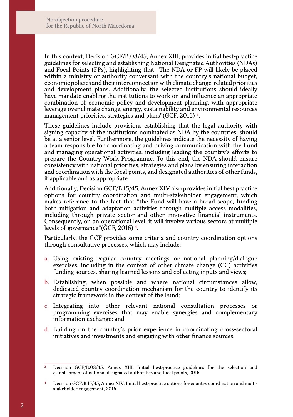In this context, Decision GCF/B.08/45, Annex XIII, provides initial best-practice guidelines for selecting and establishing National Designated Authorities (NDAs) and Focal Points (FPs), highlighting that "The NDA or FP will likely be placed within a ministry or authority conversant with the country's national budget, economic policies and their interconnection with climate change-related priorities and development plans. Additionally, the selected institutions should ideally have mandate enabling the institutions to work on and influence an appropriate combination of economic policy and development planning, with appropriate leverage over climate change, energy, sustainability and environmental resources management priorities, strategies and plans" (GCF, 2016)<sup>3</sup>.

These guidelines include provisions establishing that the legal authority with signing capacity of the institutions nominated as NDA by the countries, should be at a senior level. Furthermore, the guidelines indicate the necessity of having a team responsible for coordinating and driving communication with the Fund and managing operational activities, including leading the country's efforts to prepare the Country Work Programme. To this end, the NDA should ensure consistency with national priorities, strategies and plans by ensuring interaction and coordination with the focal points, and designated authorities of other funds, if applicable and as appropriate.

Additionally, Decision GCF/B.15/45, Annex XIV also provides initial best practice options for country coordination and multi-stakeholder engagement, which makes reference to the fact that "the Fund will have a broad scope, funding both mitigation and adaptation activities through multiple access modalities, including through private sector and other innovative financial instruments. Consequently, on an operational level, it will involve various sectors at multiple levels of governance"(GCF, 2016) 4.

Particularly, the GCF provides some criteria and country coordination options through consultative processes, which may include:

- a. Using existing regular country meetings or national planning/dialogue exercises, including in the context of other climate change (CC) activities funding sources, sharing learned lessons and collecting inputs and views;
- b. Establishing, when possible and where national circumstances allow, dedicated country coordination mechanism for the country to identify its strategic framework in the context of the Fund;
- c. Integrating into other relevant national consultation processes programming exercises that may enable synergies and complementary information exchange; and
- d. Building on the country's prior experience in coordinating cross-sectoral initiatives and investments and engaging with other finance sources.

**<sup>3</sup>** Decision GCF/B.08/45, Annex XIII, Initial best-practice guidelines for the selection and establishment of national designated authorities and focal points, 2016

**<sup>4</sup>** Decision GCF/B.15/45, Annex XIV, Initial best-practice options for country coordination and multistakeholder engagement, 2016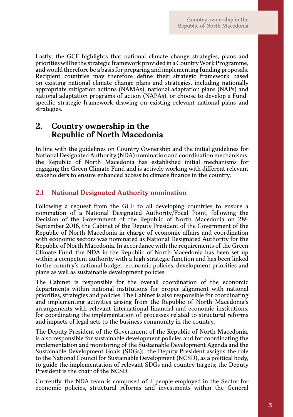Lastly, the GCF highlights that national climate change strategies, plans and priorities will be the strategic framework provided in a Country Work Programme, and would therefore be a basis for preparing and implementing funding proposals. Recipient countries may therefore define their strategic framework based on existing national climate change plans and strategies, including nationally appropriate mitigation actions (NAMAs), national adaptation plans (NAPs) and national adaptation programs of action (NAPAs), or choose to develop a Fundspecific strategic framework drawing on existing relevant national plans and strategies.

# **2. Country ownership in the Republic of North Macedonia**

In line with the guidelines on Country Ownership and the initial guidelines for National Designated Authority (NDA) nomination and coordination mechanisms, the Republic of North Macedonia has established initial mechanisms for engaging the Green Climate Fund and is actively working with different relevant stakeholders to ensure enhanced access to climate finance in the country.

### **2.1 National Designated Authority nomination**

Following a request from the GCF to all developing countries to ensure a nomination of a National Designated Authority/Focal Point, following the Decision of the Government of the Republic of North Macedonia on 28<sup>th</sup> September 2016, the Cabinet of the Deputy President of the Government of the Republic of North Macedonia in charge of economic affairs and coordination with economic sectors was nominated as National Designated Authority for the Republic of North Macedonia. In accordance with the requirements of the Green Climate Fund, the NDA in the Republic of North Macedonia has been set up within a competent authority with a high strategic function and has been linked to the country's national budget, economic policies, development priorities and plans as well as sustainable development policies.

The Cabinet is responsible for the overall coordination of the economic departments within national institutions for proper alignment with national priorities, strategies and policies. The Cabinet is also responsible for coordinating and implementing activities arising from the Republic of North Macedonia's arrangements with relevant international financial and economic institutions, for coordinating the implementation of processes related to structural reforms and impacts of legal acts to the business community in the country.

The Deputy President of the Government of the Republic of North Macedonia, is also responsible for sustainable development policies and for coordinating the implementation and monitoring of the Sustainable Development Agenda and the Sustainable Development Goals (SDGs); the Deputy President assigns the role to the National Council for Sustainable Development (NCSD), as a political body, to guide the implementation of relevant SDGs and country targets; the Deputy President is the chair of the NCSD.

Currently, the NDA team is composed of 4 people employed in the Sector for economic policies, structural reforms and investments within the General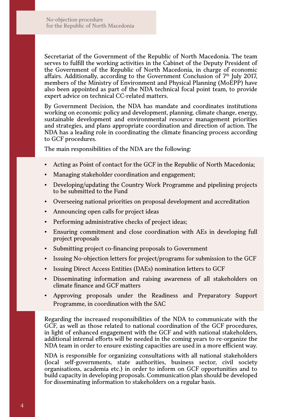Secretariat of the Government of the Republic of North Macedonia. The team serves to fulfill the working activities in the Cabinet of the Deputy President of the Government of the Republic of North Macedonia, in charge of economic affairs. Additionally, according to the Government Conclusion of 7th July 2017, members of the Ministry of Environment and Physical Planning (MoEPP) have also been appointed as part of the NDA technical focal point team, to provide expert advice on technical CC-related matters.

By Government Decision, the NDA has mandate and coordinates institutions working on economic policy and development, planning, climate change, energy, sustainable development and environmental resource management priorities and strategies, and plans appropriate coordination and direction of action. The NDA has a leading role in coordinating the climate financing process according to GCF procedures.

The main responsibilities of the NDA are the following:

- Acting as Point of contact for the GCF in the Republic of North Macedonia;
- Managing stakeholder coordination and engagement;
- Developing/updating the Country Work Programme and pipelining projects to be submitted to the Fund
- Overseeing national priorities on proposal development and accreditation
- Announcing open calls for project ideas
- Performing administrative checks of project ideas;
- y Ensuring commitment and close coordination with AEs in developing full project proposals
- Submitting project co-financing proposals to Government
- Issuing No-objection letters for project/programs for submission to the GCF
- Issuing Direct Access Entities (DAEs) nomination letters to GCF
- y Disseminating information and raising awareness of all stakeholders on climate finance and GCF matters
- Approving proposals under the Readiness and Preparatory Support Programme, in coordination with the SAC

Regarding the increased responsibilities of the NDA to communicate with the GCF, as well as those related to national coordination of the GCF procedures, in light of enhanced engagement with the GCF and with national stakeholders, additional internal efforts will be needed in the coming years to re-organize the NDA team in order to ensure existing capacities are used in a more efficient way.

NDA is responsible for organizing consultations with all national stakeholders (local self-governments, state authorities, business sector, civil society organisations, academia etc.) in order to inform on GCF opportunities and to build capacity in developing proposals. Communication plan should be developed for disseminating information to stakeholders on a regular basis.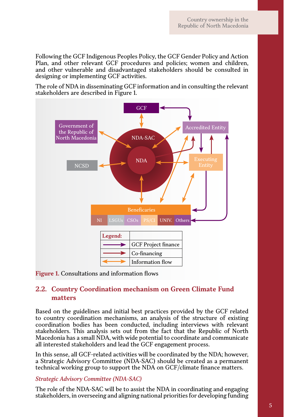Following the GCF Indigenous Peoples Policy, the GCF Gender Policy and Action Plan, and other relevant GCF procedures and policies; women and children, and other vulnerable and disadvantaged stakeholders should be consulted in designing or implementing GCF activities.

The role of NDA in disseminating GCF information and in consulting the relevant stakeholders are described in Figure 1.



**Figure 1.** Consultations and information flows

## **2.2. Country Coordination mechanism on Green Climate Fund matters**

Based on the guidelines and initial best practices provided by the GCF related to country coordination mechanisms, an analysis of the structure of existing coordination bodies has been conducted, including interviews with relevant stakeholders. This analysis sets out from the fact that the Republic of North Macedonia has a small NDA, with wide potential to coordinate and communicate all interested stakeholders and lead the GCF engagement process.

In this sense, all GCF-related activities will be coordinated by the NDA; however, a Strategic Advisory Committee (NDA-SAC) should be created as a permanent technical working group to support the NDA on GCF/climate finance matters.

#### *Strategic Advisory Committee (NDA-SAC)*

The role of the NDA-SAC will be to assist the NDA in coordinating and engaging stakeholders, in overseeing and aligning national priorities for developing funding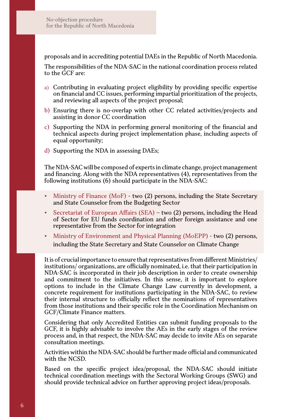proposals and in accrediting potential DAEs in the Republic of North Macedonia.

The responsibilities of the NDA-SAC in the national coordination process related to the GCF are:

- a) Contributing in evaluating project eligibility by providing specific expertise on financial and CC issues, performing impartial prioritization of the projects, and reviewing all aspects of the project proposal;
- b) Ensuring there is no-overlap with other CC related activities/projects and assisting in donor CC coordination
- c) Supporting the NDA in performing general monitoring of the financial and technical aspects during project implementation phase, including aspects of equal opportunity;
- d) Supporting the NDA in assessing DAEs;

The NDA-SAC will be composed of experts in climate change, project management and financing. Along with the NDA representatives (4), representatives from the following institutions (6) should participate in the NDA-SAC:

- Ministry of Finance (MoF) two  $(2)$  persons, including the State Secretary and State Counselor from the Budgeting Sector
- Secretariat of European Affairs (SEA) two (2) persons, including the Head of Sector for EU funds coordination and other foreign assistance and one representative from the Sector for integration
- Ministry of Environment and Physical Planning (MoEPP) two (2) persons, including the State Secretary and State Counselor on Climate Change

It is of crucial importance to ensure that representatives from different Ministries/ institutions/ organizations, are officially nominated, i.e. that their participation in NDA-SAC is incorporated in their job description in order to create ownership and commitment to the initiatives. In this sense, it is important to explore options to include in the Climate Change Law currently in development, a concrete requirement for institutions participating in the NDA-SAC, to review their internal structure to officially reflect the nominations of representatives from those institutions and their specific role in the Coordination Mechanism on GCF/Climate Finance matters.

Considering that only Accredited Entities can submit funding proposals to the GCF, it is highly advisable to involve the AEs in the early stages of the review process and, in that respect, the NDA-SAC may decide to invite AEs on separate consultation meetings.

Activities within the NDA-SAC should be further made official and communicated with the NCSD.

Based on the specific project idea/proposal, the NDA-SAC should initiate technical coordination meetings with the Sectoral Working Groups (SWG) and should provide technical advice on further approving project ideas/proposals.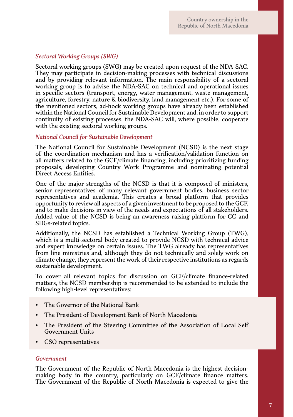#### *Sectoral Working Groups (SWG)*

Sectoral working groups (SWG) may be created upon request of the NDA-SAC. They may participate in decision-making processes with technical discussions and by providing relevant information. The main responsibility of a sectoral working group is to advise the NDA-SAC on technical and operational issues in specific sectors (transport, energy, water management, waste management, agriculture, forestry, nature & biodiversity, land management etc.). For some of the mentioned sectors, ad-hock working groups have already been established within the National Council for Sustainable Development and, in order to support continuity of existing processes, the NDA-SAC will, where possible, cooperate with the existing sectoral working groups.

#### *National Council for Sustainable Development*

The National Council for Sustainable Development (NCSD) is the next stage of the coordination mechanism and has a verification/validation function on all matters related to the GCF/climate financing, including prioritizing funding proposals, developing Country Work Programme and nominating potential Direct Access Entities.

One of the major strengths of the NCSD is that it is composed of ministers, senior representatives of many relevant government bodies, business sector representatives and academia. This creates a broad platform that provides opportunity to review all aspects of a given investment to be proposed to the GCF, and to make decisions in view of the needs and expectations of all stakeholders. Added value of the NCSD is being an awareness raising platform for CC and SDGs-related topics.

Additionally, the NCSD has established a Technical Working Group (TWG), which is a multi-sectoral body created to provide NCSD with technical advice and expert knowledge on certain issues. The TWG already has representatives from line ministries and, although they do not technically and solely work on climate change, they represent the work of their respective institutions as regards sustainable development.

To cover all relevant topics for discussion on GCF/climate finance-related matters, the NCSD membership is recommended to be extended to include the following high-level representatives:

- The Governor of the National Bank
- The President of Development Bank of North Macedonia
- The President of the Steering Committee of the Association of Local Self Government Units
- CSO representatives

#### *Government*

The Government of the Republic of North Macedonia is the highest decisionmaking body in the country, particularly on GCF/climate finance matters. The Government of the Republic of North Macedonia is expected to give the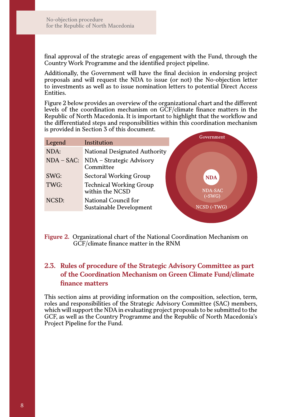final approval of the strategic areas of engagement with the Fund, through the Country Work Programme and the identified project pipeline.

Additionally, the Government will have the final decision in endorsing project proposals and will request the NDA to issue (or not) the No-objection letter to investments as well as to issue nomination letters to potential Direct Access Entities.

Figure 2 below provides an overview of the organizational chart and the different levels of the coordination mechanism on GCF/climate finance matters in the Republic of North Macedonia. It is important to highlight that the workflow and the differentiated steps and responsibilities within this coordination mechanism is provided in Section 3 of this document.

|              |                                                   | Government            |
|--------------|---------------------------------------------------|-----------------------|
| Legend       | Institution                                       |                       |
| NDA:         | National Designated Authority                     |                       |
| $NDA - SAC:$ | NDA - Strategic Advisory<br>Committee             |                       |
| SWG:         | Sectoral Working Group                            | <b>NDA</b>            |
| TWG:         | <b>Technical Working Group</b><br>within the NCSD | <b>NDA-SAC</b>        |
| NCSD:        | National Council for<br>Sustainable Development   | (+SWG)<br>NCSD (+TWG) |

#### **Figure 2.** Organizational chart of the National Coordination Mechanism on GCF/climate finance matter in the RNM

# **2.3. Rules of procedure of the Strategic Advisory Committee as part of the Coordination Mechanism on Green Climate Fund/climate finance matters**

This section aims at providing information on the composition, selection, term, roles and responsibilities of the Strategic Advisory Committee (SAC) members, which will support the NDA in evaluating project proposals to be submitted to the GCF, as well as the Country Programme and the Republic of North Macedonia's Project Pipeline for the Fund.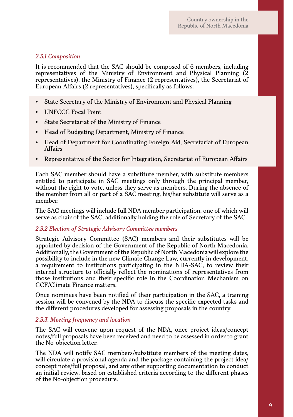#### *2.3.1 Composition*

It is recommended that the SAC should be composed of 6 members, including representatives of the Ministry of Environment and Physical Planning (2 representatives), the Ministry of Finance (2 representatives), the Secretariat of European Affairs (2 representatives), specifically as follows:

- State Secretary of the Ministry of Environment and Physical Planning
- y UNFCCC Focal Point
- State Secretariat of the Ministry of Finance
- Head of Budgeting Department, Ministry of Finance
- Head of Department for Coordinating Foreign Aid, Secretariat of European Affairs
- Representative of the Sector for Integration, Secretariat of European Affairs

Each SAC member should have a substitute member, with substitute members entitled to participate in SAC meetings only through the principal member, without the right to vote, unless they serve as members. During the absence of the member from all or part of a SAC meeting, his/her substitute will serve as a member.

The SAC meetings will include full NDA member participation, one of which will serve as chair of the SAC, additionally holding the role of Secretary of the SAC.

#### *2.3.2 Election of Strategic Advisory Committee members*

Strategic Advisory Committee (SAC) members and their substitutes will be appointed by decision of the Government of the Republic of North Macedonia. Additionally, the Government of the Republic of North Macedonia will explore the possibility to include in the new Climate Change Law, currently in development, a requirement to institutions participating in the NDA-SAC, to review their internal structure to officially reflect the nominations of representatives from those institutions and their specific role in the Coordination Mechanism on GCF/Climate Finance matters.

Once nominees have been notified of their participation in the SAC, a training session will be convened by the NDA to discuss the specific expected tasks and the different procedures developed for assessing proposals in the country.

#### *2.3.3. Meeting frequency and location*

The SAC will convene upon request of the NDA, once project ideas/concept notes/full proposals have been received and need to be assessed in order to grant the No-objection letter.

The NDA will notify SAC members/substitute members of the meeting dates, will circulate a provisional agenda and the package containing the project idea/ concept note/full proposal, and any other supporting documentation to conduct an initial review, based on established criteria according to the different phases of the No-objection procedure.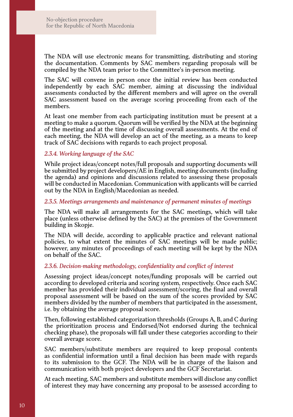The NDA will use electronic means for transmitting, distributing and storing the documentation. Comments by SAC members regarding proposals will be compiled by the NDA team prior to the Committee's in-person meeting.

The SAC will convene in person once the initial review has been conducted independently by each SAC member, aiming at discussing the individual assessments conducted by the different members and will agree on the overall SAC assessment based on the average scoring proceeding from each of the members.

At least one member from each participating institution must be present at a meeting to make a quorum. Quorum will be verified by the NDA at the beginning of the meeting and at the time of discussing overall assessments. At the end of each meeting, the NDA will develop an act of the meeting, as a means to keep track of SAC decisions with regards to each project proposal.

#### *2.3.4. Working language of the SAC*

While project ideas/concept notes/full proposals and supporting documents will be submitted by project developers/AE in English, meeting documents (including the agenda) and opinions and discussions related to assessing these proposals will be conducted in Macedonian. Communication with applicants will be carried out by the NDA in English/Macedonian as needed.

#### *2.3.5. Meetings arrangements and maintenance of permanent minutes of meetings*

The NDA will make all arrangements for the SAC meetings, which will take place (unless otherwise defined by the SAC) at the premises of the Government building in Skopje.

The NDA will decide, according to applicable practice and relevant national policies, to what extent the minutes of SAC meetings will be made public; however, any minutes of proceedings of each meeting will be kept by the NDA on behalf of the SAC.

#### *2.3.6. Decision-making methodology, confidentiality and conflict of interest*

Assessing project ideas/concept notes/funding proposals will be carried out according to developed criteria and scoring system, respectively. Once each SAC member has provided their individual assessment/scoring, the final and overall proposal assessment will be based on the sum of the scores provided by SAC members divided by the number of members that participated in the assessment, i.e. by obtaining the average proposal score.

Then, following established categorization thresholds (Groups A, B, and C during the prioritization process and Endorsed/Not endorsed during the technical checking phase), the proposals will fall under these categories according to their overall average score.

SAC members/substitute members are required to keep proposal contents as confidential information until a final decision has been made with regards to its submission to the GCF. The NDA will be in charge of the liaison and communication with both project developers and the GCF Secretariat.

At each meeting, SAC members and substitute members will disclose any conflict of interest they may have concerning any proposal to be assessed according to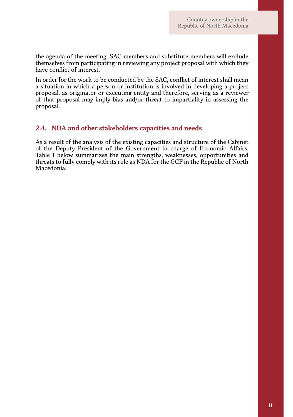the agenda of the meeting. SAC members and substitute members will exclude themselves from participating in reviewing any project proposal with which they have conflict of interest.

In order for the work to be conducted by the SAC, conflict of interest shall mean a situation in which a person or institution is involved in developing a project proposal, as originator or executing entity and therefore, serving as a reviewer of that proposal may imply bias and/or threat to impartiality in assessing the proposal.

### **2.4. NDA and other stakeholders capacities and needs**

As a result of the analysis of the existing capacities and structure of the Cabinet of the Deputy President of the Government in charge of Economic Affairs, Table 1 below summarizes the main strengths, weaknesses, opportunities and threats to fully comply with its role as NDA for the GCF in the Republic of North Macedonia.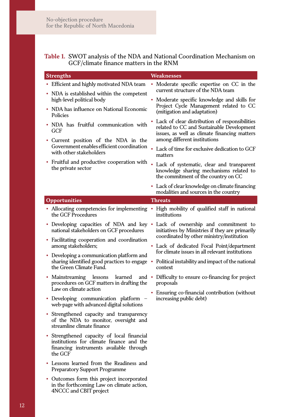#### **Table 1.** SWOT analysis of the NDA and National Coordination Mechanism on GCF/climate finance matters in the RNM

| <b>Strengths</b> |                                                                                                                                              | Weaknesses |                                                                                                                                                                             |
|------------------|----------------------------------------------------------------------------------------------------------------------------------------------|------------|-----------------------------------------------------------------------------------------------------------------------------------------------------------------------------|
|                  | • Efficient and highly motivated NDA team<br>• NDA is established within the competent                                                       |            | • Moderate specific expertise on CC in the<br>current structure of the NDA team                                                                                             |
|                  | high-level political body<br>• NDA has influence on National Economic                                                                        | ۰          | Moderate specific knowledge and skills for<br>Project Cycle Management related to CC<br>(mitigation and adaptation)                                                         |
|                  | Policies<br>• NDA has fruitful communication with<br>GCF                                                                                     |            | Lack of clear distribution of responsibilities<br>related to CC and Sustainable Development<br>issues, as well as climate financing matters<br>among different institutions |
|                  | · Current position of the NDA in the<br>Government enables efficient coordination<br>with other stakeholders                                 |            | Lack of time for exclusive dedication to GCF<br>matters                                                                                                                     |
|                  | Fruitful and productive cooperation with<br>the private sector                                                                               |            | Lack of systematic, clear and transparent<br>knowledge sharing mechanisms related to<br>the commitment of the country on CC                                                 |
|                  |                                                                                                                                              |            | • Lack of clear knowledge on climate financing<br>modalities and sources in the country                                                                                     |
|                  | Opportunities                                                                                                                                |            | <b>Threats</b>                                                                                                                                                              |
|                  | • Allocating competencies for implementing<br>the GCF Procedures                                                                             |            | • High mobility of qualified staff in national<br>institutions                                                                                                              |
|                  | • Developing capacities of NDA and key •<br>national stakeholders on GCF procedures                                                          |            | Lack of ownership and commitment to<br>initiatives by Ministries if they are primarily<br>coordinated by other ministry/institution                                         |
|                  | • Facilitating cooperation and coordination<br>among stakeholders;                                                                           |            | · Lack of dedicated Focal Point/department                                                                                                                                  |
|                  | • Developing a communication platform and<br>the Green Climate Fund.                                                                         |            | for climate issues in all relevant institutions<br>sharing identified good practices to engage • Political instability and impact of the national<br>context                |
|                  | lessons<br>learned<br>• Mainstreaming<br>procedures on GCF matters in drafting the                                                           |            | and • Difficulty to ensure co-financing for project<br>proposals                                                                                                            |
|                  | Law on climate action                                                                                                                        |            | Ensuring co-financial contribution (without                                                                                                                                 |
|                  | • Developing communication platform<br>web-page with advanced digital solutions                                                              |            | increasing public debt)                                                                                                                                                     |
|                  | Strengthened capacity and transparency<br>of the NDA to monitor, oversight and<br>streamline climate finance                                 |            |                                                                                                                                                                             |
|                  | · Strengthened capacity of local financial<br>institutions for climate finance and the<br>financing instruments available through<br>the GCF |            |                                                                                                                                                                             |
|                  | • Lessons learned from the Readiness and<br><b>Preparatory Support Programme</b>                                                             |            |                                                                                                                                                                             |
|                  | • Outcomes form this project incorporated<br>in the forthcoming Law on climate action,                                                       |            |                                                                                                                                                                             |

4NCCC and CBIT project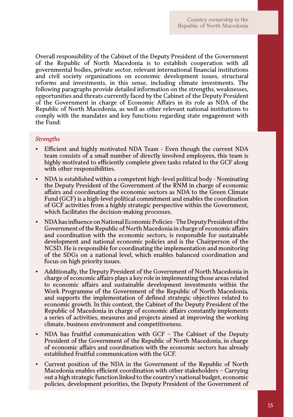Overall responsibility of the Cabinet of the Deputy President of the Government of the Republic of North Macedonia is to establish cooperation with all governmental bodies, private sector, relevant international financial institutions and civil society organizations on economic development issues, structural reforms and investments, in this sense, including climate investments. The following paragraphs provide detailed information on the strengths, weaknesses, opportunities and threats currently faced by the Cabinet of the Deputy President of the Government in charge of Economic Affairs in its role as NDA of the Republic of North Macedonia, as well as other relevant national institutions to comply with the mandates and key functions regarding state engagement with the Fund:

#### *Strengths*

- Efficient and highly motivated NDA Team Even though the current NDA team consists of a small number of directly involved employees, this team is highly motivated to efficiently complete given tasks related to the GCF along with other responsibilities.
- NDA is established within a competent high–level political body Nominating the Deputy President of the Government of the RNM in charge of economic affairs and coordinating the economic sectors as NDA to the Green Climate Fund (GCF) is a high-level political commitment and enables the coordination of GCF activities from a highly strategic perspective within the Government, which facilitates the decision-making processes.
- y NDA has influence on National Economic Policies The Deputy President of the Government of the Republic of North Macedonia in charge of economic affairs and coordination with the economic sectors, is responsible for sustainable development and national economic policies and is the Chairperson of the NCSD. He is responsible for coordinating the implementation and monitoring of the SDGs on a national level, which enables balanced coordination and focus on high priority issues.
- Additionally, the Deputy President of the Government of North Macedonia in charge of economic affairs plays a key role in implementing those areas related to economic affairs and sustainable development investments within the Work Programme of the Government of the Republic of North Macedonia, and supports the implementation of defined strategic objectives related to economic growth. In this context, the Cabinet of the Deputy President of the Republic of Macedonia in charge of economic affairs constantly implements a series of activities, measures and projects aimed at improving the working climate, business environment and competitiveness.
- NDA has fruitful communication with  $GCF The Cabinet of the Deputy$ President of the Government of the Republic of North Macedonia, in charge of economic affairs and coordination with the economic sectors has already established fruitful communication with the GCF.
- Current position of the NDA in the Government of the Republic of North Macedonia enables efficient coordination with other stakeholders – Carrying out a high strategic function linked to the country's national budget, economic policies, development priorities, the Deputy President of the Government of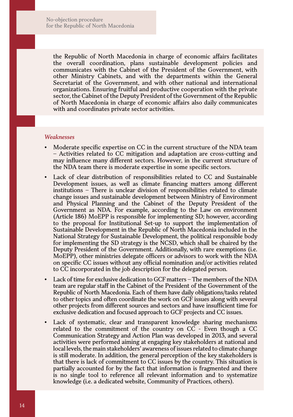the Republic of North Macedonia in charge of economic affairs facilitates the overall coordination, plans sustainable development policies and communicates with the Cabinet of the President of the Government, with other Ministry Cabinets, and with the departments within the General Secretariat of the Government, and with other national and international organizations. Ensuring fruitful and productive cooperation with the private sector, the Cabinet of the Deputy President of the Government of the Republic of North Macedonia in charge of economic affairs also daily communicates with and coordinates private sector activities.

#### *Weaknesses*

- Moderate specific expertise on CC in the current structure of the NDA team – Activities related to CC mitigation and adaptation are cross-cutting and may influence many different sectors. However, in the current structure of the NDA team there is moderate expertise in some specific sectors.
- Lack of clear distribution of responsibilities related to CC and Sustainable Development issues, as well as climate financing matters among different institutions – There is unclear division of responsibilities related to climate change issues and sustainable development between Ministry of Environment and Physical Planning and the Cabinet of the Deputy President of the Government as NDA. For example, according to the Law on environment (Article 186) MoEPP is responsible for implementing SD; however, according to the proposal for Institutional Set-up to support the implementation of Sustainable Development in the Republic of North Macedonia included in the National Strategy for Sustainable Development, the political responsible body for implementing the SD strategy is the NCSD, which shall be chaired by the Deputy President of the Government. Additionally, with rare exemptions (i.e. MoEPP), other ministries delegate officers or advisors to work with the NDA on specific CC issues without any official nomination and/or activities related to CC incorporated in the job description for the delegated person.
- Lack of time for exclusive dedication to GCF matters The members of the NDA team are regular staff in the Cabinet of the President of the Government of the Republic of North Macedonia. Each of them have daily obligations/tasks related to other topics and often coordinate the work on GCF issues along with several other projects from different sources and sectors and have insufficient time for exclusive dedication and focused approach to GCF projects and CC issues.
- Lack of systematic, clear and transparent knowledge sharing mechanisms related to the commitment of the country on CC - Even though a CC Communication Strategy and Action Plan was developed in 2013, and several activities were performed aiming at engaging key stakeholders at national and local levels, the main stakeholders' awareness of issues related to climate change is still moderate. In addition, the general perception of the key stakeholders is that there is lack of commitment to CC issues by the country. This situation is partially accounted for by the fact that information is fragmented and there is no single tool to reference all relevant information and to systematize knowledge (i.e. a dedicated website, Community of Practices, others).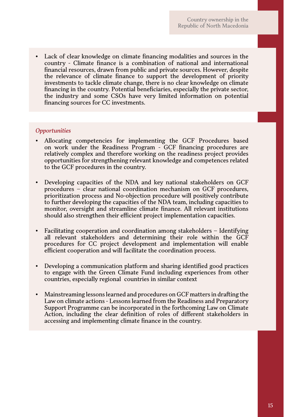• Lack of clear knowledge on climate financing modalities and sources in the country - Climate finance is a combination of national and international financial resources, drawn from public and private sources. However, despite the relevance of climate finance to support the development of priority investments to tackle climate change, there is no clear knowledge on climate financing in the country. Potential beneficiaries, especially the private sector, the industry and some CSOs have very limited information on potential financing sources for CC investments.

#### *Opportunities*

- y Allocating competencies for implementing the GCF Procedures based on work under the Readiness Program - GCF financing procedures are relatively complex and therefore working on the readiness project provides opportunities for strengthening relevant knowledge and competences related to the GCF procedures in the country.
- Developing capacities of the NDA and key national stakeholders on GCF procedures – clear national coordination mechanism on GCF procedures, prioritization process and No-objection procedure will positively contribute to further developing the capacities of the NDA team, including capacities to monitor, oversight and streamline climate finance. All relevant institutions should also strengthen their efficient project implementation capacities.
- Facilitating cooperation and coordination among stakeholders Identifying all relevant stakeholders and determining their role within the GCF procedures for CC project development and implementation will enable efficient cooperation and will facilitate the coordination process.
- Developing a communication platform and sharing identified good practices to engage with the Green Climate Fund including experiences from other countries, especially regional countries in similar context
- y Mainstreaming lessons learned and procedures on GCF matters in drafting the Law on climate actions - Lessons learned from the Readiness and Preparatory Support Programme can be incorporated in the forthcoming Law on Climate Action, including the clear definition of roles of different stakeholders in accessing and implementing climate finance in the country.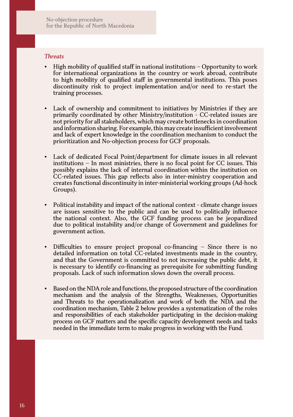#### *Threats*

- $\cdot$  High mobility of qualified staff in national institutions Opportunity to work for international organizations in the country or work abroad, contribute to high mobility of qualified staff in governmental institutions. This poses discontinuity risk to project implementation and/or need to re-start the training processes.
- Lack of ownership and commitment to initiatives by Ministries if they are primarily coordinated by other Ministry/institution - CC-related issues are not priority for all stakeholders, which may create bottlenecks in coordination and information sharing. For example, this may create insufficient involvement and lack of expert knowledge in the coordination mechanism to conduct the prioritization and No-objection process for GCF proposals.
- Lack of dedicated Focal Point/department for climate issues in all relevant institutions – In most ministries, there is no focal point for CC issues. This possibly explains the lack of internal coordination within the institution on CC-related issues. This gap reflects also in inter-ministry cooperation and creates functional discontinuity in inter-ministerial working groups (Ad-hock Groups).
- Political instability and impact of the national context climate change issues are issues sensitive to the public and can be used to politically influence the national context. Also, the GCF funding process can be jeopardized due to political instability and/or change of Government and guidelines for government action.
- Difficulties to ensure project proposal co-financing  $-$  Since there is no detailed information on total CC-related investments made in the country, and that the Government is committed to not increasing the public debt, it is necessary to identify co-financing as prerequisite for submitting funding proposals. Lack of such information slows down the overall process.
- Based on the NDA role and functions, the proposed structure of the coordination mechanism and the analysis of the Strengths, Weaknesses, Opportunities and Threats to the operationalization and work of both the NDA and the coordination mechanism, Table 2 below provides a systematization of the roles and responsibilities of each stakeholder participating in the decision-making process on GCF matters and the specific capacity development needs and tasks needed in the immediate term to make progress in working with the Fund.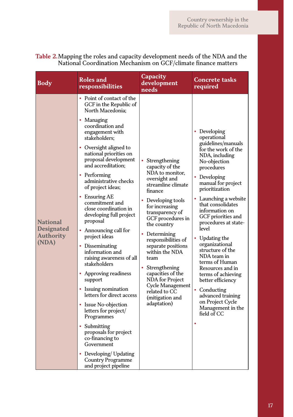| Body                                                       | Roles and<br>responsibilities                                                                                                                                                                                                                                                                                                                                                                                                                                                                                                                                                                                                                                                                                                                                                                                                                        | Capacity<br>development<br>needs                                                                                                                                                                                                                                                                                                                                                                                                | <b>Concrete tasks</b><br>required                                                                                                                                                                                                                                                                                                                                                                                                                                                                                                                                       |
|------------------------------------------------------------|------------------------------------------------------------------------------------------------------------------------------------------------------------------------------------------------------------------------------------------------------------------------------------------------------------------------------------------------------------------------------------------------------------------------------------------------------------------------------------------------------------------------------------------------------------------------------------------------------------------------------------------------------------------------------------------------------------------------------------------------------------------------------------------------------------------------------------------------------|---------------------------------------------------------------------------------------------------------------------------------------------------------------------------------------------------------------------------------------------------------------------------------------------------------------------------------------------------------------------------------------------------------------------------------|-------------------------------------------------------------------------------------------------------------------------------------------------------------------------------------------------------------------------------------------------------------------------------------------------------------------------------------------------------------------------------------------------------------------------------------------------------------------------------------------------------------------------------------------------------------------------|
| <b>National</b><br>Designated<br><b>Authority</b><br>(NDA) | • Point of contact of the<br>GCF in the Republic of<br>North Macedonia;<br>• Managing<br>coordination and<br>engagement with<br>stakeholders:<br>• Oversight aligned to<br>national priorities on<br>proposal development<br>and accreditation:<br>• Performing<br>administrative checks<br>of project ideas;<br>• Ensuring $AE$<br>commitment and<br>close coordination in<br>developing full project<br>proposal<br>• Announcing call for<br>project ideas<br>• Disseminating<br>information and<br>raising awareness of all<br>stakeholders<br>• Approving readiness<br>support<br>• Issuing nomination<br>letters for direct access<br>• Issue No-objection<br>letters for project/<br>Programmes<br>• Submitting<br>proposals for project<br>co-financing to<br>Government<br>Developing/ Updating<br>Country Programme<br>and project pipeline | Strengthening<br>capacity of the<br>NDA to monitor,<br>oversight and<br>streamline climate<br>finance<br>Developing tools<br>for increasing<br>transparency of<br>GCF procedures in<br>the country<br>Determining<br>responsibilities of<br>separate positions<br>within the NDA<br>team<br>Strengthening<br>capacities of the<br><b>NDA</b> for Project<br>Cycle Management<br>related to CC<br>(mitigation and<br>adaptation) | • Developing<br>operational<br>guidelines/manuals<br>for the work of the<br>NDA, including<br>No-objection<br>procedures<br>• Developing<br>manual for project<br>prioritization<br>• Launching a website<br>that consolidates<br>information on<br>GCF priorities and<br>procedures at state-<br>level<br>Updating the<br>organizational<br>structure of the<br>NDA team in<br>terms of Human<br>Resources and in<br>terms of achieving<br>better efficiency<br>• Conducting<br>advanced training<br>on Project Cycle<br>Management in the<br>field of CC<br>$\bullet$ |

#### **Table 2.**Mapping the roles and capacity development needs of the NDA and the National Coordination Mechanism on GCF/climate finance matters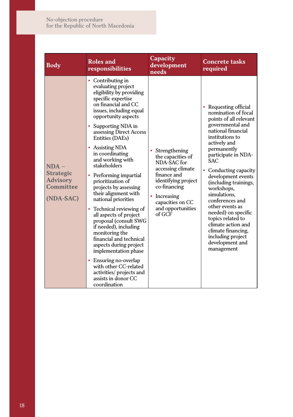No-objection procedure for the Republic of North Macedonia

| <b>Body</b>                                                              | Roles and<br>responsibilities                                                                                                                                                                                                                                                                                                                                                                                                                                                                                                                                                                                                                                                                                                                                        | Capacity<br>development<br>needs                                                                                                                                                                           | <b>Concrete tasks</b><br>required                                                                                                                                                                                                                                                                                                                                                                                                                                                                            |
|--------------------------------------------------------------------------|----------------------------------------------------------------------------------------------------------------------------------------------------------------------------------------------------------------------------------------------------------------------------------------------------------------------------------------------------------------------------------------------------------------------------------------------------------------------------------------------------------------------------------------------------------------------------------------------------------------------------------------------------------------------------------------------------------------------------------------------------------------------|------------------------------------------------------------------------------------------------------------------------------------------------------------------------------------------------------------|--------------------------------------------------------------------------------------------------------------------------------------------------------------------------------------------------------------------------------------------------------------------------------------------------------------------------------------------------------------------------------------------------------------------------------------------------------------------------------------------------------------|
| $NDA -$<br><b>Strategic</b><br><b>Advisory</b><br>Committee<br>(NDA-SAC) | • Contributing in<br>evaluating project<br>eligibility by providing<br>specific expertise<br>on financial and CC<br>issues, including equal<br>opportunity aspects<br>• Supporting NDA in<br>assessing Direct Access<br>Entities (DAEs)<br>• Assisting NDA<br>in coordinating<br>and working with<br>stakeholders<br>• Performing impartial<br>prioritization of<br>projects by assessing<br>their alignment with<br>national priorities<br>• Technical reviewing of<br>all aspects of project<br>proposal (consult SWG<br>if needed), including<br>monitoring the<br>financial and technical<br>aspects during project<br>implementation phase<br>• Ensuring no-overlap<br>with other CC-related<br>activities/ projects and<br>assists in donor CC<br>coordination | Strengthening<br>the capacities of<br>NDA-SAC for<br>accessing climate<br>finance and<br>identifying project<br>co-financing<br>Increasing<br>$\bullet$<br>capacities on CC<br>and opportunities<br>of GCF | • Requesting official<br>nomination of focal<br>points of all relevant<br>governmental and<br>national financial<br>institutions to<br>actively and<br>permanently<br>participate in NDA-<br><b>SAC</b><br>Conducting capacity<br>$\bullet$<br>development events<br>(including trainings,<br>workshops,<br>simulations,<br>conferences and<br>other events as<br>needed) on specific<br>topics related to<br>climate action and<br>climate financing,<br>including project<br>development and<br>management |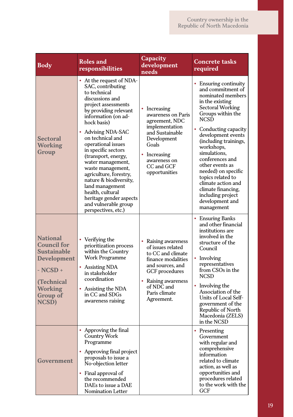| <b>Body</b>                                                                                                                                                   | <b>Roles</b> and<br>responsibilities                                                                                                                                                                                                                                                                                                                                                                                                                                                                | Capacity<br>development<br>needs                                                                                                                                                              | Concrete tasks<br>required                                                                                                                                                                                                                                                                                                                                                                                                           |
|---------------------------------------------------------------------------------------------------------------------------------------------------------------|-----------------------------------------------------------------------------------------------------------------------------------------------------------------------------------------------------------------------------------------------------------------------------------------------------------------------------------------------------------------------------------------------------------------------------------------------------------------------------------------------------|-----------------------------------------------------------------------------------------------------------------------------------------------------------------------------------------------|--------------------------------------------------------------------------------------------------------------------------------------------------------------------------------------------------------------------------------------------------------------------------------------------------------------------------------------------------------------------------------------------------------------------------------------|
| Sectoral<br>Working<br>Group                                                                                                                                  | • At the request of NDA-<br>SAC, contributing<br>to technical<br>discussions and<br>project assessments<br>by providing relevant<br>information (on ad-<br>hock basis)<br>• Advising NDA-SAC<br>on technical and<br>operational issues<br>in specific sectors<br>(transport, energy,<br>water management,<br>waste management,<br>agriculture, forestry,<br>nature & biodiversity,<br>land management<br>health, cultural<br>heritage gender aspects<br>and vulnerable group<br>perspectives, etc.) | • Increasing<br>awareness on Paris<br>agreement, NDC<br>implementation<br>and Sustainable<br>Development<br>Goals<br>• Increasing<br>awareness on<br>CC and GCF<br>opportunities              | • Ensuring continuity<br>and commitment of<br>nominated members<br>in the existing<br>Sectoral Working<br>Groups within the<br><b>NCSD</b><br>• Conducting capacity<br>development events<br>(including trainings,<br>workshops,<br>simulations,<br>conferences and<br>other events as<br>needed) on specific<br>topics related to<br>climate action and<br>climate financing,<br>including project<br>development and<br>management |
| <b>National</b><br><b>Council for</b><br><b>Sustainable</b><br><b>Development</b><br>$-$ NCSD $+$<br>(Technical<br><b>Working</b><br><b>Group of</b><br>NCSD) | $\bullet$<br>Verifying the<br>prioritization process<br>within the Country<br><b>Work Programme</b><br>• Assisting NDA<br>in stakeholder<br>coordination<br>Assisting the NDA<br>in CC and SDGs<br>awareness raising                                                                                                                                                                                                                                                                                | • Raising awareness<br>of issues related<br>to CC and climate<br>finance modalities<br>and sources, and<br>GCF procedures<br>• Raising awareness<br>of NDC and<br>Paris climate<br>Agreement. | • Ensuring Banks<br>and other financial<br>institutions are<br>involved in the<br>structure of the<br>Council<br>• Involving<br>representatives<br>from CSOs in the<br><b>NCSD</b><br>• Involving the<br>Association of the<br>Units of Local Self-<br>government of the<br>Republic of North<br>Macedonia (ZELS)<br>in the NCSD                                                                                                     |
| Government                                                                                                                                                    | • Approving the final<br>Country Work<br>Programme<br>• Approving final project<br>proposals to issue a<br>No-objection letter<br>• Final approval of<br>the recommended<br>DAEs to issue a DAE<br><b>Nomination Letter</b>                                                                                                                                                                                                                                                                         |                                                                                                                                                                                               | • Presenting<br>Government<br>with regular and<br>comprehensive<br>information<br>related to climate<br>action, as well as<br>opportunities and<br>procedures related<br>to the work with the<br>GCF                                                                                                                                                                                                                                 |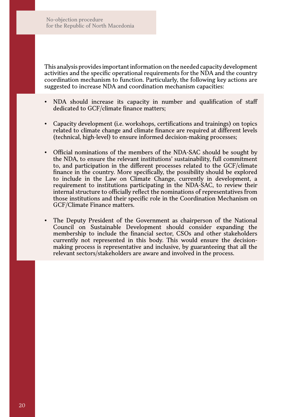No-objection procedure for the Republic of North Macedonia

This analysis provides important information on the needed capacity development activities and the specific operational requirements for the NDA and the country coordination mechanism to function. Particularly, the following key actions are suggested to increase NDA and coordination mechanism capacities:

- NDA should increase its capacity in number and qualification of staff dedicated to GCF/climate finance matters;
- Capacity development (i.e. workshops, certifications and trainings) on topics related to climate change and climate finance are required at different levels (technical, high-level) to ensure informed decision-making processes;
- y Official nominations of the members of the NDA-SAC should be sought by the NDA, to ensure the relevant institutions' sustainability, full commitment to, and participation in the different processes related to the GCF/climate finance in the country. More specifically, the possibility should be explored to include in the Law on Climate Change, currently in development, a requirement to institutions participating in the NDA-SAC, to review their internal structure to officially reflect the nominations of representatives from those institutions and their specific role in the Coordination Mechanism on GCF/Climate Finance matters.
- The Deputy President of the Government as chairperson of the National Council on Sustainable Development should consider expanding the membership to include the financial sector, CSOs and other stakeholders currently not represented in this body. This would ensure the decisionmaking process is representative and inclusive, by guaranteeing that all the relevant sectors/stakeholders are aware and involved in the process.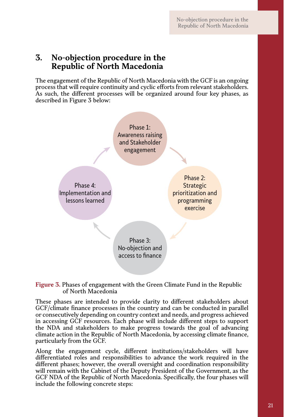# **3. No-objection procedure in the Republic of North Macedonia**

The engagement of the Republic of North Macedonia with the GCF is an ongoing process that will require continuity and cyclic efforts from relevant stakeholders. As such, the different processes will be organized around four key phases, as described in Figure 3 below:



**Figure 3.** Phases of engagement with the Green Climate Fund in the Republic of North Macedonia

These phases are intended to provide clarity to different stakeholders about GCF/climate finance processes in the country and can be conducted in parallel or consecutively depending on country context and needs, and progress achieved in accessing GCF resources. Each phase will include different steps to support the NDA and stakeholders to make progress towards the goal of advancing climate action in the Republic of North Macedonia, by accessing climate finance, particularly from the GCF.

Along the engagement cycle, different institutions/stakeholders will have differentiated roles and responsibilities to advance the work required in the different phases; however, the overall oversight and coordination responsibility will remain with the Cabinet of the Deputy President of the Government, as the GCF NDA of the Republic of North Macedonia. Specifically, the four phases will include the following concrete steps: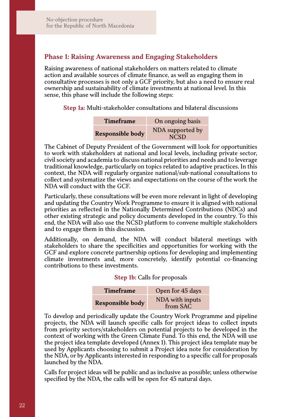### **Phase 1: Raising Awareness and Engaging Stakeholders**

Raising awareness of national stakeholders on matters related to climate action and available sources of climate finance, as well as engaging them in consultative processes is not only a GCF priority, but also a need to ensure real ownership and sustainability of climate investments at national level. In this sense, this phase will include the following steps:

**Step 1a:** Multi-stakeholder consultations and bilateral discussions

| <b>Timeframe</b>        | On ongoing basis                |
|-------------------------|---------------------------------|
| <b>Responsible body</b> | NDA supported by<br><b>NCSD</b> |

The Cabinet of Deputy President of the Government will look for opportunities to work with stakeholders at national and local levels, including private sector, civil society and academia to discuss national priorities and needs and to leverage traditional knowledge, particularly on topics related to adaptive practices. In this context, the NDA will regularly organize national/sub-national consultations to collect and systematize the views and expectations on the course of the work the NDA will conduct with the GCF.

Particularly, these consultations will be even more relevant in light of developing and updating the Country Work Programme to ensure it is aligned with national priorities as reflected in the Nationally Determined Contributions (NDCs) and other existing strategic and policy documents developed in the country. To this end, the NDA will also use the NCSD platform to convene multiple stakeholders and to engage them in this discussion.

Additionally, on demand, the NDA will conduct bilateral meetings with stakeholders to share the specificities and opportunities for working with the GCF and explore concrete partnership options for developing and implementing climate investments and, more concretely, identify potential co-financing contributions to these investments.

#### **Step 1b:** Calls for proposals

| <b>Timeframe</b> | Open for 45 days            |
|------------------|-----------------------------|
| Responsible body | NDA with inputs<br>from SAC |

To develop and periodically update the Country Work Programme and pipeline projects, the NDA will launch specific calls for project ideas to collect inputs from priority sectors/stakeholders on potential projects to be developed in the context of working with the Green Climate Fund. To this end, the NDA will use the project idea template developed (Annex 1). This project idea template may be used by Applicants choosing to submit a Project idea note for consideration by the NDA, or by Applicants interested in responding to a specific call for proposals launched by the NDA.

Calls for project ideas will be public and as inclusive as possible; unless otherwise specified by the NDA, the calls will be open for 45 natural days.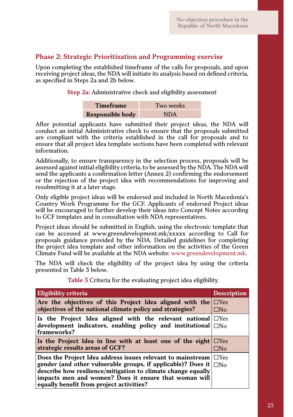### **Phase 2: Strategic Prioritization and Programming exercise**

Upon completing the established timeframe of the calls for proposals, and upon receiving project ideas, the NDA will initiate its analysis based on defined criteria, as specified in Steps 2a and 2b below.

**Step 2a:** Administrative check and eligibility assessment

| <b>Timeframe</b>        | Two weeks  |
|-------------------------|------------|
| <b>Responsible body</b> | <b>NDA</b> |

After potential applicants have submitted their project ideas, the NDA will conduct an initial Administrative check to ensure that the proposals submitted are compliant with the criteria established in the call for proposals and to ensure that all project idea template sections have been completed with relevant information.

Additionally, to ensure transparency in the selection process, proposals will be assessed against initial eligibility criteria, to be assessed by the NDA. The NDA will send the applicants a confirmation letter (Annex 2) confirming the endorsement or the rejection of the project idea with recommendations for improving and resubmitting it at a later stage.

Only eligible project ideas will be endorsed and included in North Macedonia's Country Work Programme for the GCF. Applicants of endorsed Project ideas will be encouraged to further develop their ideas into Concept Notes according to GCF templates and in consultation with NDA representatives.

Project ideas should be submitted in English, using the electronic template that can be accessed at www.greendevelopment.mk/ $\bar{x}$ xxxx according to Call for proposals guidance provided by the NDA. Detailed guidelines for completing the project idea template and other information on the activities of the Green Climate Fund will be available at the NDA website: www.greendevelopment.mk.

The NDA will check the eligibility of the project idea by using the criteria presented in Table 3 below.

| Eligibility criteria                                                                                                                                                                                                                                                                             | <b>Description</b>         |
|--------------------------------------------------------------------------------------------------------------------------------------------------------------------------------------------------------------------------------------------------------------------------------------------------|----------------------------|
| Are the objectives of this Project Idea aligned with the $\Box$ Yes<br>objectives of the national climate policy and strategies?                                                                                                                                                                 | $\Box$ No                  |
| Is the Project Idea aligned with the relevant national $\Box$ Yes<br>development indicators, enabling policy and institutional $\Box$ No<br>frameworks?                                                                                                                                          |                            |
| Is the Project Idea in line with at least one of the eight<br>strategic results areas of GCF?                                                                                                                                                                                                    | $\Box$ Yes<br>$\square$ No |
| Does the Project Idea address issues relevant to mainstream<br>gender (and other vulnerable groups, if applicable)? Does it<br>describe how resilience/mitigation to climate change equally<br>impacts men and women? Does it ensure that woman will<br>equally benefit from project activities? | $\Box$ Yes<br>$\Box$ No    |

**Table 3** Criteria for the evaluating project idea eligibility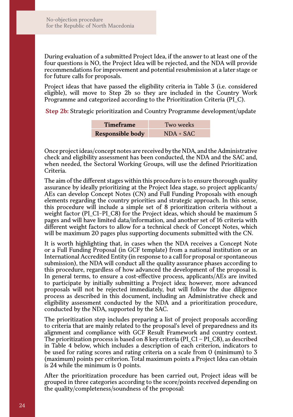During evaluation of a submitted Project Idea, if the answer to at least one of the four questions is NO, the Project Idea will be rejected, and the NDA will provide recommendations for improvement and potential resubmission at a later stage or for future calls for proposals.

Project ideas that have passed the eligibility criteria in Table 3 (i.e. considered eligible), will move to Step 2b so they are included in the Country Work Programme and categorized according to the Prioritization Criteria (PI\_C).

**Step 2b:** Strategic prioritization and Country Programme development/update

| <b>Timeframe</b> | Two weeks   |
|------------------|-------------|
| Responsible body | $NDA + SAC$ |

Once project ideas/concept notes are received by the NDA, and the Administrative check and eligibility assessment has been conducted, the NDA and the SAC and, when needed, the Sectoral Working Groups, will use the defined Prioritization Criteria.

The aim of the different stages within this procedure is to ensure thorough quality assurance by ideally prioritizing at the Project Idea stage, so project applicants/ AEs can develop Concept Notes (CN) and Full Funding Proposals with enough elements regarding the country priorities and strategic approach. In this sense, this procedure will include a simple set of 8 prioritization criteria without a weight factor (PI\_C1-PI\_C8) for the Project ideas, which should be maximum 5 pages and will have limited data/information, and another set of 16 criteria with different weight factors to allow for a technical check of Concept Notes, which will be maximum 20 pages plus supporting documents submitted with the CN.

It is worth highlighting that, in cases when the NDA receives a Concept Note or a Full Funding Proposal (in GCF template) from a national institution or an International Accredited Entity (in response to a call for proposal or spontaneous submission), the NDA will conduct all the quality assurance phases according to this procedure, regardless of how advanced the development of the proposal is. In general terms, to ensure a cost-effective process, applicants/AEs are invited to participate by initially submitting a Project idea; however, more advanced proposals will not be rejected immediately, but will follow the due diligence process as described in this document, including an Administrative check and eligibility assessment conducted by the NDA and a prioritization procedure, conducted by the NDA, supported by the SAC.

The prioritization step includes preparing a list of project proposals according to criteria that are mainly related to the proposal's level of preparedness and its alignment and compliance with GCF Result Framework and country context. The prioritization process is based on 8 key criteria (PI\_C1 – PI\_C8), as described in Table 4 below, which includes a description of each criterion, indicators to be used for rating scores and rating criteria on a scale from 0 (minimum) to 3 (maximum) points per criterion. Total maximum points a Project Idea can obtain is 24 while the minimum is 0 points.

After the prioritization procedure has been carried out, Project ideas will be grouped in three categories according to the score/points received depending on the quality/completeness/soundness of the proposal: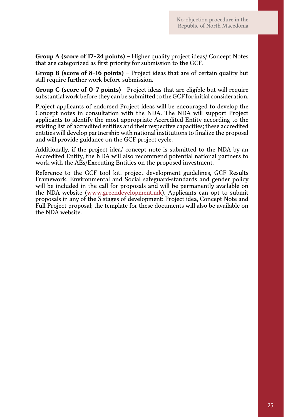**Group A (score of 17-24 points)** – Higher quality project ideas/ Concept Notes that are categorized as first priority for submission to the GCF.

**Group B (score of 8-16 points)** – Project ideas that are of certain quality but still require further work before submission.

**Group C (score of 0-7 points)** - Project ideas that are eligible but will require substantial work before they can be submitted to the GCF for initial consideration.

Project applicants of endorsed Project ideas will be encouraged to develop the Concept notes in consultation with the NDA. The NDA will support Project applicants to identify the most appropriate Accredited Entity according to the existing list of accredited entities and their respective capacities; these accredited entities will develop partnership with national institutions to finalize the proposal and will provide guidance on the GCF project cycle.

Additionally, if the project idea/ concept note is submitted to the NDA by an Accredited Entity, the NDA will also recommend potential national partners to work with the AEs/Executing Entities on the proposed investment.

Reference to the GCF tool kit, project development guidelines, GCF Results Framework, Environmental and Social safeguard-standards and gender policy will be included in the call for proposals and will be permanently available on the NDA website (www.greendevelopment.mk). Applicants can opt to submit proposals in any of the 3 stages of development: Project idea, Concept Note and Full Project proposal; the template for these documents will also be available on the NDA website.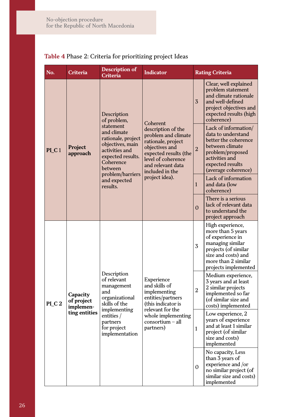| No.               | Criteria                                             | <b>Description of</b><br>Criteria                                                                                                                                                                               | <b>Indicator</b>                                                                                                                                                                                       | <b>Rating Criteria</b> |                                                                                                                                                                             |
|-------------------|------------------------------------------------------|-----------------------------------------------------------------------------------------------------------------------------------------------------------------------------------------------------------------|--------------------------------------------------------------------------------------------------------------------------------------------------------------------------------------------------------|------------------------|-----------------------------------------------------------------------------------------------------------------------------------------------------------------------------|
| PI C <sub>1</sub> | Project<br>approach                                  | Description<br>of problem,<br>statement<br>and climate<br>rationale, project<br>objectives, main<br>activities and<br>expected results.<br>Coherence<br>between<br>problem/barriers<br>and expected<br>results. | Coherent<br>description of the<br>problem and climate<br>rationale, project<br>objectives and<br>expected results (the<br>level of coherence<br>and relevant data<br>included in the<br>project idea). | $\overline{3}$         | Clear, well explained<br>problem statement<br>and climate rationale<br>and well-defined<br>project objectives and<br>expected results (high<br>coherence)                   |
|                   |                                                      |                                                                                                                                                                                                                 |                                                                                                                                                                                                        | $\overline{2}$         | Lack of information/<br>data to understand<br>better the coherence<br>between climate<br>problem/proposed<br>activities and<br>expected results<br>(average coherence)      |
|                   |                                                      |                                                                                                                                                                                                                 |                                                                                                                                                                                                        | $\mathbf{1}$           | Lack of information<br>and data (low<br>coherence)                                                                                                                          |
|                   |                                                      |                                                                                                                                                                                                                 |                                                                                                                                                                                                        | $\Omega$               | There is a serious<br>lack of relevant data<br>to understand the<br>project approach                                                                                        |
| PLC <sub>2</sub>  | Capacity<br>of project<br>implemen-<br>ting entities | Description<br>of relevant<br>management<br>and<br>organizational<br>skills of the<br>implementing<br>entities /<br>partners<br>for project<br>implementation                                                   | Experience<br>and skills of<br>implementing<br>entities/partners<br>(this indicator is<br>relevant for the<br>whole implementing<br>$consortium - all$<br>partners)                                    | 3                      | High experience,<br>more than 5 years<br>of experience in<br>managing similar<br>projects (of similar<br>size and costs) and<br>more than 2 similar<br>projects implemented |
|                   |                                                      |                                                                                                                                                                                                                 |                                                                                                                                                                                                        | $\overline{2}$         | Medium experience,<br>3 years and at least<br>2 similar projects<br>implemented so far<br>(of similar size and<br>costs) implemented                                        |
|                   |                                                      |                                                                                                                                                                                                                 |                                                                                                                                                                                                        | $\mathbf{1}$           | Low experience, 2<br>years of experience<br>and at least 1 similar<br>project (of similar<br>size and costs)<br>implemented                                                 |
|                   |                                                      |                                                                                                                                                                                                                 |                                                                                                                                                                                                        | $\overline{0}$         | No capacity, Less<br>than 3 years of<br>experience and /or<br>no similar project (of<br>similar size and costs)<br>implemented                                              |

# **Table 4** Phase 2: Criteria for prioritizing project Ideas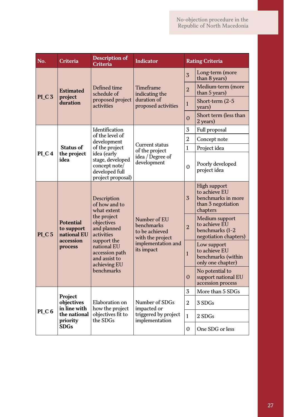| No.               | Criteria                                            | <b>Description of</b><br>Criteria                                                       | <b>Indicator</b>                                                 |                | <b>Rating Criteria</b>                                                                |
|-------------------|-----------------------------------------------------|-----------------------------------------------------------------------------------------|------------------------------------------------------------------|----------------|---------------------------------------------------------------------------------------|
|                   |                                                     |                                                                                         |                                                                  | $\overline{3}$ | Long-term (more<br>than 8 years)                                                      |
| PI <sub>C</sub> 3 | <b>Estimated</b><br>project                         | Defined time<br>schedule of                                                             | Timeframe<br>indicating the                                      | $\overline{2}$ | Medium-term (more<br>than 5 years)                                                    |
|                   | duration                                            | proposed project<br>activities                                                          | duration of<br>proposed activities                               | $\mathbf{1}$   | Short-term (2-5<br>years)                                                             |
|                   |                                                     |                                                                                         |                                                                  | $\Omega$       | Short term (less than<br>2 years)                                                     |
|                   |                                                     | Identification                                                                          |                                                                  | 3              | Full proposal                                                                         |
|                   |                                                     | of the level of<br>development                                                          |                                                                  | $\overline{2}$ | Concept note                                                                          |
|                   | Status of                                           | of the project                                                                          | Current status<br>of the project                                 | 1              | Project idea                                                                          |
| PLC4              | the project<br>idea                                 | idea (early<br>stage, developed<br>concept note/<br>developed full<br>project proposal) | idea / Degree of<br>development                                  | $\Omega$       | Poorly developed<br>project idea                                                      |
|                   |                                                     | Description<br>of how and to<br>what extent                                             |                                                                  | $\overline{3}$ | High support<br>to achieve EU<br>benchmarks in more<br>than 3 negotiation<br>chapters |
| PLC <sub>5</sub>  | Potential<br>to support<br>national EU<br>accession | the project<br>objectives<br>and planned<br>activities                                  | Number of EU<br>benchmarks<br>to be achieved<br>with the project | $\overline{2}$ | Medium support<br>to achieve EU<br>benchmarks (1-2<br>negotiation chapters)           |
|                   | process                                             | support the<br>national EU<br>accession path<br>and assist to<br>achieving EU           | implementation and<br>its impact                                 | $\mathbf{1}$   | Low support<br>to achieve EU<br>benchmarks (within<br>only one chapter)               |
|                   |                                                     | benchmarks                                                                              |                                                                  | $\Omega$       | No potential to<br>support national EU<br>accession process                           |
|                   | Project                                             |                                                                                         |                                                                  | 3              | More than 5 SDGs                                                                      |
|                   | objectives<br>in line with                          | Elaboration on<br>how the project                                                       | Number of SDGs<br>impacted or                                    | 2              | 3 SDGs                                                                                |
| PLC6              | the national<br>priority                            | objectives fit to<br>the SDGs                                                           | triggered by project<br>implementation                           | 1              | 2 SDGs                                                                                |
|                   | <b>SDGs</b>                                         |                                                                                         |                                                                  | 0              | One SDG or less                                                                       |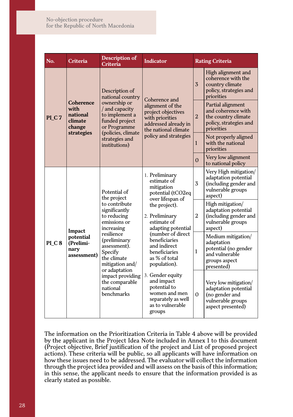| No.              | Criteria                                                         | Description of<br>Criteria                                                                               | <b>Indicator</b>                                                                                                    |                | <b>Rating Criteria</b>                                                                                    |
|------------------|------------------------------------------------------------------|----------------------------------------------------------------------------------------------------------|---------------------------------------------------------------------------------------------------------------------|----------------|-----------------------------------------------------------------------------------------------------------|
|                  |                                                                  | Description of<br>national country                                                                       | Coherence and                                                                                                       | 3              | High alignment and<br>coherence with the<br>country climate<br>policy, strategies and<br>priorities       |
| PLC7             | Coherence<br>with<br>national<br>climate<br>change<br>strategies | ownership or<br>/ and capacity<br>to implement a<br>funded project<br>or Programme<br>(policies, climate | alignment of the<br>project objectives<br>with priorities<br>addressed already in<br>the national climate           | $\overline{2}$ | Partial alignment<br>and coherence with<br>the country climate<br>policy, strategies and<br>priorities    |
|                  |                                                                  | strategies and<br>institutions)                                                                          | policy and strategies                                                                                               | 1              | Not properly aligned<br>with the national<br>priorities                                                   |
|                  |                                                                  |                                                                                                          |                                                                                                                     | $\Omega$       | Very low alignment<br>to national policy                                                                  |
|                  |                                                                  | Potential of<br>the project                                                                              | 1. Preliminary<br>estimate of<br>mitigation<br>potential (tCO2eq<br>over lifespan of                                | 3              | Very High mitigation/<br>adaptation potential<br>(including gender and<br>vulnerable groups<br>aspect)    |
|                  | Impact                                                           | to contribute<br>significantly<br>to reducing<br>emissions or<br>increasing                              | the project).<br>2. Preliminary<br>estimate of<br>adapting potential                                                | $\overline{2}$ | High mitigation/<br>adaptation potential<br>(including gender and<br>vulnerable groups<br>aspect)         |
| PLC <sub>8</sub> | potential<br>(Prelimi-<br>nary<br>assessment)                    | resilience<br>(preliminary<br>assessment).<br>Specify<br>the climate<br>mitigation and/<br>or adaptation | (number of direct<br>beneficiaries<br>and indirect<br>beneficiaries<br>as % of total<br>population).                | 1              | Medium mitigation/<br>adaptation<br>potential (no gender<br>and vulnerable<br>groups aspect<br>presented) |
|                  |                                                                  | impact providing<br>the comparable<br>national<br>benchmarks                                             | 3. Gender equity<br>and impact<br>potential to<br>women and men<br>separately as well<br>as to vulnerable<br>groups | $\Omega$       | Very low mitigation/<br>adaptation potential<br>(no gender and<br>vulnerable groups<br>aspect presented)  |

The information on the Prioritization Criteria in Table 4 above will be provided by the applicant in the Project Idea Note included in Annex 1 to this document (Project objective, Brief justification of the project and List of proposed project actions). These criteria will be public, so all applicants will have information on how these issues need to be addressed. The evaluator will collect the information through the project idea provided and will assess on the basis of this information; in this sense, the applicant needs to ensure that the information provided is as clearly stated as possible.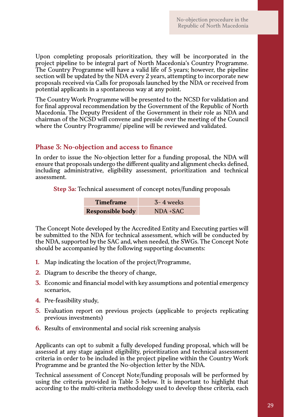Upon completing proposals prioritization, they will be incorporated in the project pipeline to be integral part of North Macedonia's Country Programme. The Country Programme will have a valid life of 5 years; however, the pipeline section will be updated by the NDA every 2 years, attempting to incorporate new proposals received via Calls for proposals launched by the NDA or received from potential applicants in a spontaneous way at any point.

The Country Work Programme will be presented to the NCSD for validation and for final approval recommendation by the Government of the Republic of North Macedonia. The Deputy President of the Government in their role as NDA and chairman of the NCSD will convene and preside over the meeting of the Council where the Country Programme/ pipeline will be reviewed and validated.

# **Phase 3: No-objection and access to finance**

In order to issue the No-objection letter for a funding proposal, the NDA will ensure that proposals undergo the different quality and alignment checks defined, including administrative, eligibility assessment, prioritization and technical assessment.

**Step 3a:** Technical assessment of concept notes/funding proposals

| <b>Timeframe</b>        | $3-4$ weeks |
|-------------------------|-------------|
| <b>Responsible body</b> | $NDA + SAC$ |

The Concept Note developed by the Accredited Entity and Executing parties will be submitted to the NDA for technical assessment, which will be conducted by the NDA, supported by the SAC and, when needed, the SWGs. The Concept Note should be accompanied by the following supporting documents:

- **1.** Map indicating the location of the project/Programme,
- **2.** Diagram to describe the theory of change,
- **3.** Economic and financial model with key assumptions and potential emergency scenarios,
- **4.** Pre-feasibility study,
- **5.** Evaluation report on previous projects (applicable to projects replicating previous investments)
- **6.** Results of environmental and social risk screening analysis

Applicants can opt to submit a fully developed funding proposal, which will be assessed at any stage against eligibility, prioritization and technical assessment criteria in order to be included in the project pipeline within the Country Work Programme and be granted the No-objection letter by the NDA.

Technical assessment of Concept Note/funding proposals will be performed by using the criteria provided in Table 5 below. It is important to highlight that according to the multi-criteria methodology used to develop these criteria, each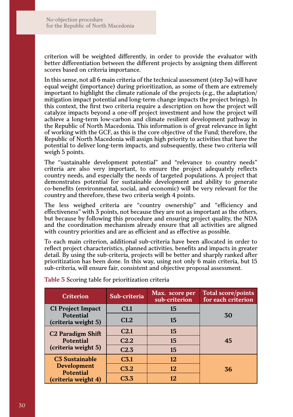criterion will be weighted differently, in order to provide the evaluator with better differentiation between the different projects by assigning them different scores based on criteria importance.

In this sense, not all 6 main criteria of the technical assessment (step 3a) will have equal weight (importance) during prioritization, as some of them are extremely important to highlight the climate rationale of the projects (e.g., the adaptation/ mitigation impact potential and long-term change impacts the project brings). In this context, the first two criteria require a description on how the project will catalyze impacts beyond a one-off project investment and how the project will achieve a long-term low-carbon and climate resilient development pathway in the Republic of North Macedonia. This information is of great relevance in light of working with the GCF, as this is the core objective of the Fund; therefore, the Republic of North Macedonia will assign high priority to activities that have the potential to deliver long-term impacts, and subsequently, these two criteria will weigh 5 points.

The "sustainable development potential" and "relevance to country needs" criteria are also very important, to ensure the project adequately reflects country needs, and especially the needs of targeted populations. A project that demonstrates potential for sustainable development and ability to generate co-benefits (environmental, social, and economic) will be very relevant for the country and therefore, these two criteria weigh 4 points.

The less weighed criteria are "country ownership" and "efficiency and effectiveness" with 3 points, not because they are not as important as the others, but because by following this procedure and ensuring project quality, the NDA and the coordination mechanism already ensure that all activities are aligned with country priorities and are as efficient and as effective as possible.

To each main criterion, additional sub-criteria have been allocated in order to reflect project characteristics, planned activities, benefits and impacts in greater detail. By using the sub-criteria, projects will be better and sharply ranked after prioritization has been done. In this way, using not only 6 main criteria, but 15 sub-criteria, will ensure fair, consistent and objective proposal assessment.

| <b>Criterion</b>                       | Sub-criteria     | Max. score per<br>sub-criterion | <b>Total score/points</b><br>for each criterion |
|----------------------------------------|------------------|---------------------------------|-------------------------------------------------|
| C1 Project Impact                      | C1.1             | 15                              |                                                 |
| Potential<br>(criteria weight 5)       | C1.2             | 15                              | 30                                              |
| <b>C2 Paradigm Shift</b>               | C <sub>2.1</sub> | 15                              |                                                 |
| <b>Potential</b>                       | C <sub>2.2</sub> | 15                              | 45                                              |
| (criteria weight 5)                    | C2.3             | 15                              |                                                 |
| <b>C3 Sustainable</b>                  | C <sub>3.1</sub> | 12                              |                                                 |
| <b>Development</b><br><b>Potential</b> | C <sub>3.2</sub> | 12                              | 36                                              |
| (criteria weight 4)                    | C <sub>3.3</sub> | 12                              |                                                 |

**Table 5** Scoring table for prioritization criteria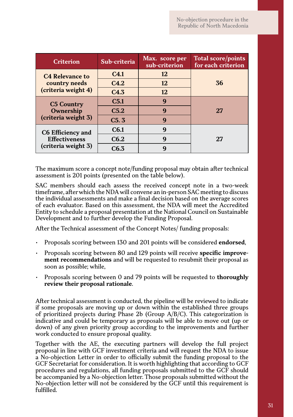| <b>Criterion</b>       | Sub-criteria     | Max. score per<br>sub-criterion | <b>Total score/points</b><br>for each criterion |
|------------------------|------------------|---------------------------------|-------------------------------------------------|
| <b>C4 Relevance to</b> | C <sub>4.1</sub> | 12                              |                                                 |
| country needs          | C4.2             | 12                              | 36                                              |
| (criteria weight 4)    | C4.3             | 12                              |                                                 |
| <b>C5 Country</b>      | C <sub>5.1</sub> | 9                               |                                                 |
| Ownership              | C <sub>5.2</sub> | 9                               | 27                                              |
| (criteria weight 3)    | C <sub>5.3</sub> | 9                               |                                                 |
| C6 Efficiency and      | C6.1             | 9                               |                                                 |
| <b>Effectiveness</b>   | C6.2             | 9                               | 27                                              |
| (criteria weight 3)    | C6.3             | g                               |                                                 |

The maximum score a concept note/funding proposal may obtain after technical assessment is 201 points (presented on the table below).

SAC members should each assess the received concept note in a two-week timeframe, after which the NDA will convene an in-person SAC meeting to discuss the individual assessments and make a final decision based on the average scores of each evaluator. Based on this assessment, the NDA will meet the Accredited Entity to schedule a proposal presentation at the National Council on Sustainable Development and to further develop the Funding Proposal.

After the Technical assessment of the Concept Notes/ funding proposals:

- Proposals scoring between 130 and 201 points will be considered **endorsed**,
- Proposals scoring between 80 and 129 points will receive **specific improvement recommendations** and will be requested to resubmit their proposal as soon as possible; while,
- Proposals scoring between 0 and 79 points will be requested to **thoroughly review their proposal rationale**.

After technical assessment is conducted, the pipeline will be reviewed to indicate if some proposals are moving up or down within the established three groups of prioritized projects during Phase 2b (Group A/B/C). This categorization is indicative and could be temporary as proposals will be able to move out (up or down) of any given priority group according to the improvements and further work conducted to ensure proposal quality.

Together with the AE, the executing partners will develop the full project proposal in line with GCF investment criteria and will request the NDA to issue a No-objection Letter in order to officially submit the funding proposal to the GCF Secretariat for consideration. It is worth highlighting that according to GCF procedures and regulations, all funding proposals submitted to the GCF should be accompanied by a No-objection letter. Those proposals submitted without the No-objection letter will not be considered by the GCF until this requirement is fulfilled.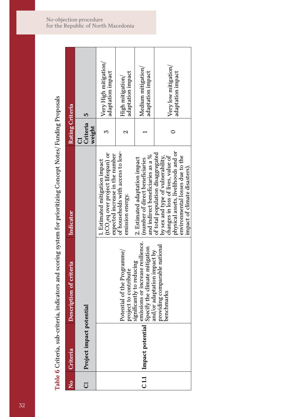Table 6 Criteria, sub-criteria, indicators and scoring system for prioritizing Concept Notes/ Funding Proposals **Table 6** Criteria, sub-criteria, indicators and scoring system for prioritizing Concept Notes/ Funding Proposals

| $\mathsf{\hat{z}}$ | Criteria                         | Description of criteria                                                                                                         | Indicator                                                                                                                                                                                                               | Rating Criteria                            |
|--------------------|----------------------------------|---------------------------------------------------------------------------------------------------------------------------------|-------------------------------------------------------------------------------------------------------------------------------------------------------------------------------------------------------------------------|--------------------------------------------|
| J                  | Project impact potential         |                                                                                                                                 |                                                                                                                                                                                                                         | 5<br>Criteria<br>weight<br>ರ               |
|                    |                                  |                                                                                                                                 | (tCO,eq over project lifespan) or<br>expected increase in the number<br>. Estimated mitigation impact                                                                                                                   | Very High mitigation/<br>adaptation impact |
|                    |                                  | Potential of the Programme/<br>project to contribute                                                                            | of households with access to low-<br>emission energy.                                                                                                                                                                   | adaptation impact<br>High mitigation/      |
|                    | C <sub>11</sub> Impact potential | emissions or increase resilience.<br>Specify the climate mitigation<br>and/or adaptation impact by<br>significantly to reducing | and indirect beneficiaries as a %<br>2. Estimated adaptation impact<br>(number of direct beneficiaries                                                                                                                  | Medium mitigation/<br>adaptation impact    |
|                    |                                  | providing comparable national<br>benchmarks                                                                                     | physical assets, livelihoods and or<br>of total population disaggregated<br>environmental losses due to the<br>changes in loss of lives, value of<br>by sex and type of vulnerability,<br>impact of climate disasters). | Very low mitigation/<br>adaptation impact  |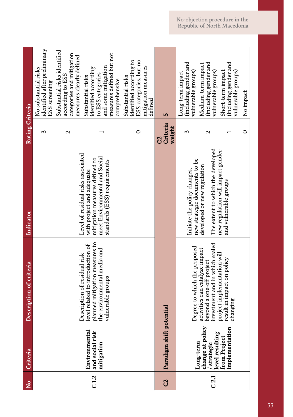| $\mathsf{S}^{\mathsf{o}}$ | Criteria                                                        | Description of criteria                                                                                                                                | Indicator                                                                                                                                                          | Rating Criteria                      |                                                                                                                                    |
|---------------------------|-----------------------------------------------------------------|--------------------------------------------------------------------------------------------------------------------------------------------------------|--------------------------------------------------------------------------------------------------------------------------------------------------------------------|--------------------------------------|------------------------------------------------------------------------------------------------------------------------------------|
|                           |                                                                 |                                                                                                                                                        |                                                                                                                                                                    | 5                                    | identified after preliminary<br>No substantial risks<br>ESS screening                                                              |
|                           |                                                                 |                                                                                                                                                        |                                                                                                                                                                    | $\mathbf{\Omega}$                    | Substantial risks identified<br>categories and mitigation<br>measures clearly defined<br>according to ESS                          |
| C1.2                      | Environmental<br>and social risk<br>mitigation                  | planned mitigation measures to<br>level related to introduction of<br>the environmental media and<br>Description of residual risk<br>vulnerable groups | Level of residual risks associated<br>meet Environmental and Social<br>mitigation measures defined to<br>standards (ESS) requirements<br>with project and adequate |                                      | measures defined but not<br>and some mitigation<br>identified according<br>to ESS categories<br>Substantial risks<br>comprehensive |
|                           |                                                                 |                                                                                                                                                        |                                                                                                                                                                    | 0                                    | identified according to<br>ESS categories, but no<br>mitigation measures<br>Substantial risks<br>defined                           |
| C <sub>2</sub>            | Paradigm shift                                                  | potential                                                                                                                                              |                                                                                                                                                                    | Criteria<br>weight<br>$\overline{c}$ | S                                                                                                                                  |
|                           |                                                                 | Degree to which the proposed                                                                                                                           | new strategic documents to be<br>Initiate the policy changes,                                                                                                      | 5                                    | (including gender and<br>vulnerable groups)<br>Long-term impact                                                                    |
| C <sub>2.1</sub>          | change at policy<br>/ strategic<br>level resulting<br>Long-term | investment and in which scaled<br>activities can catalyze impact<br>beyond a one-off project                                                           | The extent to which the developed<br>developed or new regulation                                                                                                   | $\mathbf{\Omega}$                    | including gender and<br>Medium-term impact<br>vulnerable groups)                                                                   |
|                           | Implementation<br>from Project                                  | project implementation will<br>result in impact on policy<br>changing                                                                                  | new regulation will impact gender<br>and vulnerable groups                                                                                                         |                                      | (including gender and<br>Short-term impact<br>vulnerable groups)                                                                   |
|                           |                                                                 |                                                                                                                                                        |                                                                                                                                                                    | $\circ$                              | No impact                                                                                                                          |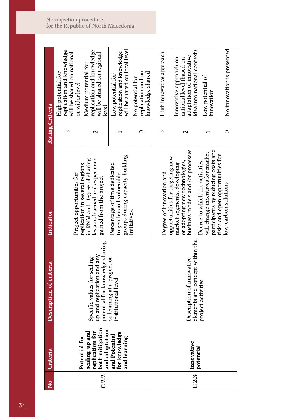| $\frac{1}{2}$ | Criteria                                                                                                                  | Description of criteria                                                                       | Indicator                                                                                                                   | <b>Rating Criteria</b> |                                                                                                               |
|---------------|---------------------------------------------------------------------------------------------------------------------------|-----------------------------------------------------------------------------------------------|-----------------------------------------------------------------------------------------------------------------------------|------------------------|---------------------------------------------------------------------------------------------------------------|
|               | Potential for                                                                                                             |                                                                                               | Project opportunities for                                                                                                   | 5                      | replication and knowledge<br>will be shared on national<br>High potential for<br>or wider level               |
| C2.2          | scaling-up and<br>replication for<br>both mitigation<br>and adaptation<br>and Potential<br>for knowledge<br>for knowledge | potential for knowledge sharing<br>up and replication and any<br>Specific values for scaling- | lessons learned and experience<br>in RNM and Degree of sharing<br>replication in several regions<br>gained from the project | 2                      | replication and knowledge<br>will be shared on regional<br>Medium potential for<br>level                      |
|               | and learning                                                                                                              | or learning at a project or<br>institutional level                                            | groups during capacity-building<br>Percentage of time dedicated<br>to gender and vulnerable                                 |                        | will be shared on local level<br>replication and knowledge<br>Low potential for                               |
|               |                                                                                                                           |                                                                                               | Initiatives.                                                                                                                |                        | replication and no<br>knowledge shared<br>No potential for                                                    |
|               |                                                                                                                           |                                                                                               | opportunities for targeting new<br>Degree of innovation and                                                                 | Σ                      | High innovative approach                                                                                      |
|               | C 2.3 Dotential                                                                                                           | elements and concept within the<br>Description of innovative                                  | business models and /or processes<br>or adopting new technologies,<br>market segments, developing                           | $\mathbf{\Omega}$      | idea into national context)<br>adaptation of innovative<br>Innovative approach on<br>national level (based on |
|               |                                                                                                                           | project activities                                                                            | participants by reducing costs and<br>will change incentives for market<br>Decree to which the activities                   |                        | Low potential of<br>innovation                                                                                |
|               |                                                                                                                           |                                                                                               | risks and open opportunities for<br>low-carbon solutions                                                                    | 0                      | No innovation is presented                                                                                    |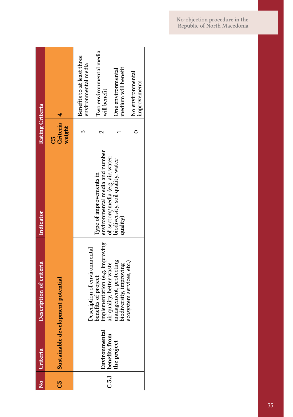| $\frac{1}{2}$         | Criteria                           | Description of criteria                                                            | Indicator                                                                                       | Rating Criteria          |                                                   |
|-----------------------|------------------------------------|------------------------------------------------------------------------------------|-------------------------------------------------------------------------------------------------|--------------------------|---------------------------------------------------|
| $\overline{\text{c}}$ |                                    | Sustainable development potential                                                  |                                                                                                 | Criteria<br>weight<br>СŠ |                                                   |
|                       |                                    | Description of environmental                                                       |                                                                                                 |                          | Benefits to at least three<br>environmental media |
|                       | Environmental                      | implementation (e.g. improving<br>air quality, better waste<br>benefits of project | environmental media and number<br>of sectors/media (e.g. air, water,<br>Type of improvements in |                          | Two environmental media<br>will benefit           |
|                       | C 3.1 benefits from<br>the project | management, protecting<br>biodiversity, improving                                  | biodiversity, soil quality, water<br>quality)                                                   |                          | medium will benefit<br>One environmental          |
|                       |                                    | ecosystem services, etc.)                                                          |                                                                                                 |                          | No environmental<br>improvements                  |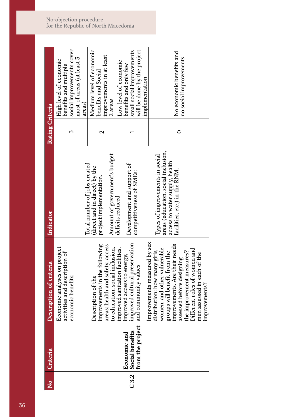| $\frac{1}{2}$     | Criteria                                               | Description of criteria                                                                                                                                                                                                                                                                                 | <b>Indicator</b>                                                                                                                          | Rating Criteria |                                                                                                                              |
|-------------------|--------------------------------------------------------|---------------------------------------------------------------------------------------------------------------------------------------------------------------------------------------------------------------------------------------------------------------------------------------------------------|-------------------------------------------------------------------------------------------------------------------------------------------|-----------------|------------------------------------------------------------------------------------------------------------------------------|
|                   |                                                        | Economic analyses on project<br>activities and description of<br>economic benefits;                                                                                                                                                                                                                     | Total number of jobs created                                                                                                              | 3               | social improvements cover<br>most of areas (at least 3<br>High level of economic<br>benefits and multiple<br>areas)          |
|                   |                                                        | improvements in the following<br>areas: health and safety, access<br>to education, social inclusion,<br>Description of the                                                                                                                                                                              | Amount of government's budget<br>(direct and in direct) by the<br>project implementation.                                                 | Z               | Medium level of economic<br>improvements in at least<br>benefits and Social<br>2 areas                                       |
| $C\overline{3.2}$ | Economic and<br>Social benefits<br>from the project is | improved cultural preservation<br>improved sanitation facilities,<br>improved access to energy,<br>and community values                                                                                                                                                                                 | Development and support of<br>competitiveness of SMEs;<br>deficits reduced                                                                |                 | will be done by the project<br>small social improvements<br>Low level of economic<br>benefits and only few<br>implementation |
|                   |                                                        | Improvements measured by sex<br>improvements. Are their needs<br>women, and other vulnerable<br>Different roles of women and<br>distribution: how many girls,<br>the improvement measures?<br>groups will benefit from the<br>men assessed in each of the<br>assessed before designing<br>improvements? | areas (education, social inclusion,<br>Types of improvements in social<br>access to water supply, health<br>facilities, etc.) in the RNM. | 0               | No economic benefits and<br>no social improvements                                                                           |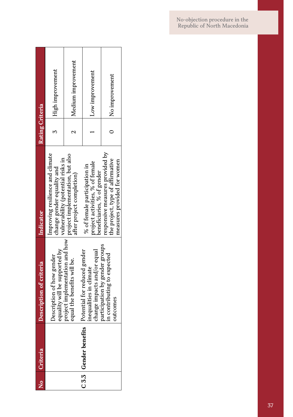| $\frac{1}{2}$ | Criteria              | Description of criteria                                                                | Indicator                                                                                           | Rating Criteria |                    |
|---------------|-----------------------|----------------------------------------------------------------------------------------|-----------------------------------------------------------------------------------------------------|-----------------|--------------------|
|               |                       | equality will be supported by<br>Description of how gender                             | Improving resilience and climate<br>vulnerability (potential risks in<br>change gender equality and |                 | High improvement   |
|               |                       | project implementation and how<br>equal the benefits will be.                          | project implementation, but also<br>atter project completion)                                       |                 | Medium improvement |
|               | C 3.3 Gender benefits | Potential for reduced gender<br>change impacts and/or equal<br>inequalities in climate | project activities, % of female<br>% of female participation in<br>beneficiaries, % of gender       |                 | Low improvement    |
|               |                       | participation by gender groups<br>in contributing to expected<br>outcomes              | responsive measures provided by<br>the project, type of affirmative<br>measures provided for women  |                 | No improvement     |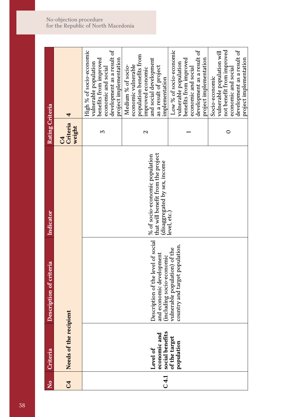| $\overline{\mathsf{z}}$ | Criteria                                                                   | Description of criteria                                                                                                                                        | Indicator                                                                                                            | Rating Criteria               |                                                                                                                                                                                                                                                                                                                                                                                                                                                                                                                                                                                                                               |
|-------------------------|----------------------------------------------------------------------------|----------------------------------------------------------------------------------------------------------------------------------------------------------------|----------------------------------------------------------------------------------------------------------------------|-------------------------------|-------------------------------------------------------------------------------------------------------------------------------------------------------------------------------------------------------------------------------------------------------------------------------------------------------------------------------------------------------------------------------------------------------------------------------------------------------------------------------------------------------------------------------------------------------------------------------------------------------------------------------|
| $\overline{c}$          | Needs of the recipient                                                     |                                                                                                                                                                |                                                                                                                      | Criteria<br>weight<br>$C_{4}$ | 4                                                                                                                                                                                                                                                                                                                                                                                                                                                                                                                                                                                                                             |
| C4.1                    | economic and<br>social benefits<br>of the target<br>population<br>Level of | Description of the level of social<br>country and target population.<br>vulnerable population) of the<br>and economic development<br>(including socio-economic | that will benefit from the project<br>% of socio-economic population<br>disaggregated by sex, income<br>level, etc.) | 3<br>2<br>0                   | Low % of socio-economic<br>development as a result of<br>development as a result of<br>development as a result of<br>not benefit from improved<br>High % of socio-economic<br>vulnerable population will<br>population benefits from<br>project implementation<br>project implementation<br>and social development<br>benefits from improved<br>benefits from improved<br>vulnerable population<br>vulnerable population<br>economic vulnerable<br>Medium % of socio-<br>as a result of project<br>economic and social<br>economic and social<br>economic and social<br>improved economic<br>Socio-economic<br>implementation |
|                         |                                                                            |                                                                                                                                                                |                                                                                                                      |                               | project implementation                                                                                                                                                                                                                                                                                                                                                                                                                                                                                                                                                                                                        |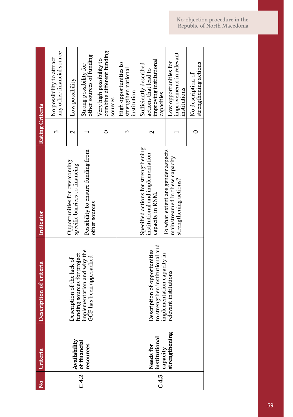| $\frac{1}{2}$ | Criteria                                                      | Description of criteria                                                                       | Indicator                                                                                     | Rating Criteria |                                                                                         |
|---------------|---------------------------------------------------------------|-----------------------------------------------------------------------------------------------|-----------------------------------------------------------------------------------------------|-----------------|-----------------------------------------------------------------------------------------|
|               |                                                               |                                                                                               |                                                                                               | 2               | any other financial source<br>No possibility to attract                                 |
|               |                                                               | Description of the lack of                                                                    | Opportunities for overcoming<br>specific barriers to financing                                | N               | Low possibility                                                                         |
|               | Availability<br>C 4.2 of financial<br>resources               | implementation and why the<br>funding sources for project<br>GCF has been approached          | Possibility to ensure funding from<br>other sources                                           |                 | other sources of funding<br>Strong possibility for                                      |
|               |                                                               |                                                                                               |                                                                                               |                 | combine different funding<br>Very high possibility to<br>sources                        |
|               |                                                               |                                                                                               |                                                                                               |                 | High opportunities to<br>strengthen national<br>institution                             |
|               | Needs for<br>C 4.3 institutional<br>capacity<br>strengthening | to strengthen institutional and<br>Description of opportunities<br>implementation capacity in | Specified actions for strengthening<br>institutional and implementation<br>capacity in RNM.   | Z               | improving institutional<br>Sufficiently described<br>actions that lead to<br>capacities |
|               |                                                               | relevant institutions                                                                         | To what extent are gender aspects<br>mainstreamed in these capacity<br>strengthening actions? |                 | improvements in relevant<br>Low opportunities for<br>institutions                       |
|               |                                                               |                                                                                               |                                                                                               |                 | strengthening actions<br>No description of                                              |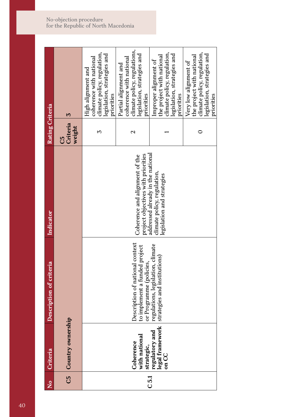| $\frac{1}{2}$ | Criteria                                                                    | Description of criteria                                                                     | <b>Indicator</b>                                                                               | Rating Criteria          |                                                                                                                                |
|---------------|-----------------------------------------------------------------------------|---------------------------------------------------------------------------------------------|------------------------------------------------------------------------------------------------|--------------------------|--------------------------------------------------------------------------------------------------------------------------------|
|               | C5 Country ownership                                                        |                                                                                             |                                                                                                | Criteria<br>weight<br>55 | 3                                                                                                                              |
|               |                                                                             |                                                                                             |                                                                                                | 5                        | climate policy, regulation,<br>legislation, strategies and<br>coherence with national<br>High alignment and<br>priorities      |
|               | <b>Coherence</b>                                                            | Description of national context<br>to implement a funded project<br>or Programme (policies, | project objectives with priorities<br>Coherence and alignment of the                           | Z                        | climate policy, regulations,<br>legislation, strategies and<br>coherence with national<br>Partial alignment and<br>priorities  |
| C5.1          | with national<br>strategic,<br>regulatory and<br>legal framework<br>on $CC$ | regulations, legislation, climate<br>strategies and institutions)                           | addressed already in the national<br>climate policy, regulation,<br>legislation and strategies |                          | climate policy, regulation,<br>legislation, strategies and<br>the project with national<br>Improper alignment of<br>priorities |
|               |                                                                             |                                                                                             |                                                                                                |                          | climate policy, regulation,<br>legislation, strategies and<br>the project with national<br>Very low alignment of<br>priorities |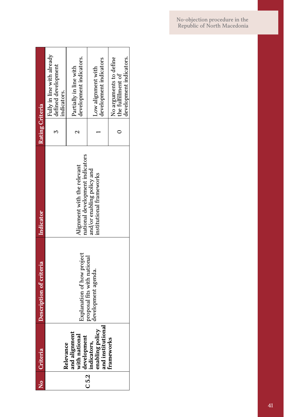| $\frac{1}{2}$ | Criteria                                                                                                                                 | Description of criteria                            | Indicator                                                      | Rating Criteria |                                                                         |
|---------------|------------------------------------------------------------------------------------------------------------------------------------------|----------------------------------------------------|----------------------------------------------------------------|-----------------|-------------------------------------------------------------------------|
|               | Relevance                                                                                                                                |                                                    |                                                                |                 | Fully in line with already<br>defined development<br>indicators.        |
|               |                                                                                                                                          | Explanation of how project                         | national development indicators<br>Alignment with the relevant |                 | development indicators.<br>Partially in line with                       |
| C5.2          | and alignment<br>with national<br>development<br>indicators,<br>indicators,<br>enabling policy<br>and institutional<br>and institutional | proposal fits with national<br>development agenda. | and/or enabling policy and<br>institutional frameworks         |                 | development indicators<br>Low alignment with                            |
|               | frameworks                                                                                                                               |                                                    |                                                                |                 | No arguments to define<br>development indicators.<br>the fulfillment of |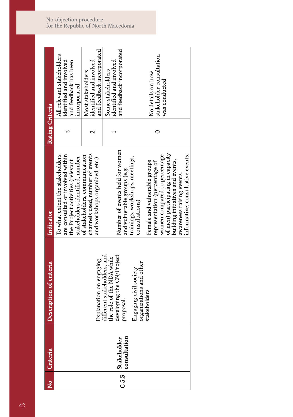| $\overline{\mathsf{X}}$ | Criteria     | Description of criteria                                                               | Indicator                                                                                                                                                                                           | Rating Criteria |                                                                                               |
|-------------------------|--------------|---------------------------------------------------------------------------------------|-----------------------------------------------------------------------------------------------------------------------------------------------------------------------------------------------------|-----------------|-----------------------------------------------------------------------------------------------|
|                         |              |                                                                                       | are consulted or involved within<br>To what extent the stakeholders<br>stakeholders identified, number<br>the Project activities (relevant                                                          | Σ               | All relevant stakeholders<br>identified and involved<br>and feedback has been<br>incorporated |
|                         |              | Explanation on engaging                                                               | channels used, number of events<br>of stakeholders, communication<br>and workshops organized, etc.)                                                                                                 | N               | and feedback incorporated<br>identified and involved<br>Most stakeholders                     |
| C5.3                    | Stakeholder  | different stakeholders, and<br>developing the CN/Project<br>the role of the NDA while | Number of events held for women                                                                                                                                                                     |                 | and feedback incorporated<br>identified and involved<br>Some stakeholders                     |
|                         | consultation | organizations and other<br>Engaging civil society<br>proposal                         | trainings, workshops, meetings,<br>and vulnerable groups (e.g.<br>consultations)                                                                                                                    |                 |                                                                                               |
|                         |              | stakeholders                                                                          | of men) participating in capacity<br>women compared to percentage<br>Female and vulnerable groups<br>building initiatives and events,<br>representation (percentage of<br>awareness raising events, |                 | stakeholder consultation<br>No details on how<br>was conducted                                |
|                         |              |                                                                                       | informative, consultative events.                                                                                                                                                                   |                 |                                                                                               |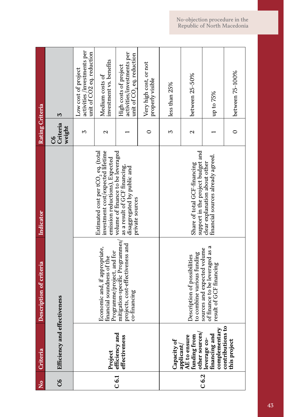| $\frac{1}{2}$  | Criteria                                                    | Description of criteria                                                                   | <b>Indicator</b>                                                                                                      | Rating Criteria          |                                                                                            |
|----------------|-------------------------------------------------------------|-------------------------------------------------------------------------------------------|-----------------------------------------------------------------------------------------------------------------------|--------------------------|--------------------------------------------------------------------------------------------|
| $\overline{c}$ | Efficiency and effectiveness                                |                                                                                           |                                                                                                                       | Criteria<br>weight<br>80 | 3                                                                                          |
|                |                                                             |                                                                                           |                                                                                                                       | 2                        | activities /investments per<br>unit of CO2 eq. reduction<br>Low cost of project            |
|                | Project<br>efficiency and                                   | Economic and, if appropriate,<br>Programme/project, and for<br>financial soundness of the | Estimated cost per tCO <sub>2</sub> eq. (total<br>investment cost/expected lifetime<br>emission reductions), Expected | $\mathbf{\Omega}$        | investment vs. benefits<br>Medium costs of                                                 |
| $\overline{0}$ | effectiveness                                               | mitigation-specific Programmes/<br>projects, cost-effectiveness and<br>co-financing       | volume of finance to be leveraged<br>as a result of GCF financing,<br>disaggregated by public and<br>private sources  |                          | activities/investments per<br>unit of $\text{CO}_2$ eq. reduction<br>High costs of project |
|                |                                                             |                                                                                           |                                                                                                                       | 0                        | Very high cost, or not<br>properly visible                                                 |
|                | Capacity of                                                 |                                                                                           |                                                                                                                       | 2                        | less than 25%                                                                              |
|                | other sources<br>funding from<br>AE to ensure<br>applicant/ | to combine various funding<br>Description of possibilities                                | support in the project budget and<br>Share of total GCF-financing                                                     | 2                        | between 25-50%                                                                             |
| C6.2           | complementary<br>financing and<br>leverage co-              | of finance to be leveraged as a<br>sources and expected volume<br>result of GCF financing | clear explanation about other<br>financial sources already agreed.                                                    |                          | up to 75%                                                                                  |
|                | contributions to<br>this project                            |                                                                                           |                                                                                                                       | $\circ$                  | between 75-100%                                                                            |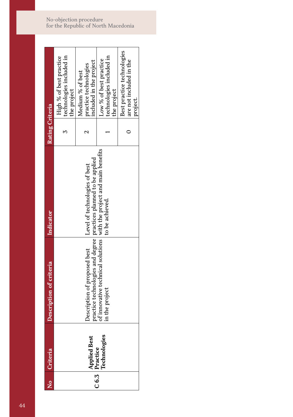| 。<br>2 | Criteria                       | Description of criteria                                                                            | <b>Indicator</b>                                                                        | Rating Criteria |                                                                      |
|--------|--------------------------------|----------------------------------------------------------------------------------------------------|-----------------------------------------------------------------------------------------|-----------------|----------------------------------------------------------------------|
|        |                                |                                                                                                    |                                                                                         |                 | High % of best practice<br>technologies included in<br>the project   |
|        | Applied Best<br>C 6.3 Practice | practice technologies and degree   practices planned to be applied<br>Description of proposed best | Level of technologies of best                                                           |                 | included in the project<br>practice technologies<br>Medium % of best |
|        | <b>Technologies</b>            | in the project                                                                                     | of innovative technical solutions with the project and main benefits<br>to be achieved. |                 | technologies included in<br>Low % of best practice<br>the project    |
|        |                                |                                                                                                    |                                                                                         |                 | Best practice technologies<br>are not included in the<br>project.    |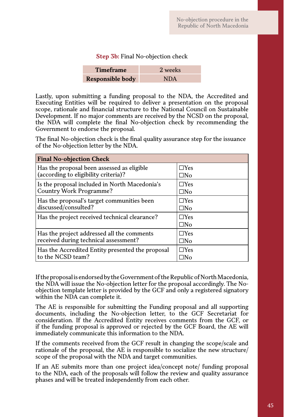## **Step 3b:** Final No-objection check

| <b>Timeframe</b>        | 2 weeks    |
|-------------------------|------------|
| <b>Responsible body</b> | <b>NDA</b> |

Lastly, upon submitting a funding proposal to the NDA, the Accredited and Executing Entities will be required to deliver a presentation on the proposal scope, rationale and financial structure to the National Council on Sustainable Development. If no major comments are received by the NCSD on the proposal, the NDA will complete the final No-objection check by recommending the Government to endorse the proposal.

The final No-objection check is the final quality assurance step for the issuance of the No-objection letter by the NDA.

| <b>Final No-objection Check</b>                  |                            |
|--------------------------------------------------|----------------------------|
| Has the proposal been assessed as eligible       | $\Box$ Yes                 |
| (according to eligibility criteria)?             | $\square$ No               |
| Is the proposal included in North Macedonia's    | $\Box$ Yes                 |
| Country Work Programme?                          | □No                        |
| Has the proposal's target communities been       | $\Box$ Yes                 |
| discussed/consulted?                             | □No                        |
| Has the project received technical clearance?    | $\Box$ Yes<br>$\square$ No |
| Has the project addressed all the comments       | $\Box$ Yes                 |
| received during technical assessment?            | □No                        |
| Has the Accredited Entity presented the proposal | $\Box$ Yes                 |
| to the NCSD team?                                | -INo                       |

If the proposal is endorsed by the Government of the Republic of North Macedonia, the NDA will issue the No-objection letter for the proposal accordingly. The Noobjection template letter is provided by the GCF and only a registered signatory within the NDA can complete it.

The AE is responsible for submitting the Funding proposal and all supporting documents, including the No-objection letter, to the GCF Secretariat for consideration. If the Accredited Entity receives comments from the GCF, or if the funding proposal is approved or rejected by the GCF Board, the AE will immediately communicate this information to the NDA.

If the comments received from the GCF result in changing the scope/scale and rationale of the proposal, the AE is responsible to socialize the new structure/ scope of the proposal with the NDA and target communities.

If an AE submits more than one project idea/concept note/ funding proposal to the NDA, each of the proposals will follow the review and quality assurance phases and will be treated independently from each other.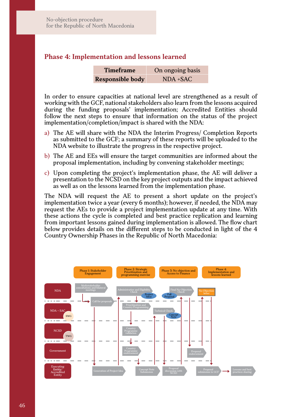# **Phase 4: Implementation and lessons learned**

| <b>Timeframe</b>        | On ongoing basis |
|-------------------------|------------------|
| <b>Responsible body</b> | $NDA + SAC$      |

In order to ensure capacities at national level are strengthened as a result of working with the GCF, national stakeholders also learn from the lessons acquired during the funding proposals' implementation; Accredited Entities should follow the next steps to ensure that information on the status of the project implementation/completion/impact is shared with the NDA:

- a) The AE will share with the NDA the Interim Progress/ Completion Reports as submitted to the GCF; a summary of these reports will be uploaded to the NDA website to illustrate the progress in the respective project.
- b) The AE and EEs will ensure the target communities are informed about the proposal implementation, including by convening stakeholder meetings;
- c) Upon completing the project's implementation phase, the AE will deliver a presentation to the NCSD on the key project outputs and the impact achieved as well as on the lessons learned from the implementation phase.

The NDA will request the AE to present a short update on the project's implementation twice a year (every 6 months); however, if needed, the NDA may request the AEs to provide a project implementation update at any time. With these actions the cycle is completed and best practice replication and learning from important lessons gained during implementation is allowed. The flow chart below provides details on the different steps to be conducted in light of the 4 Country Ownership Phases in the Republic of North Macedonia:

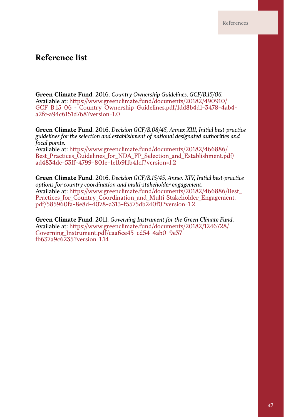# **Reference list**

**Green Climate Fund**. 2016. *Country Ownership Guidelines, GCF/B.15/06.* Available at: https://www.greenclimate.fund/documents/20182/490910/ GCF\_B.15\_06\_-\_Country\_Ownership\_Guidelines.pdf/1dd8b4d1-3478-4ab4a2fc-a94c6151d768?version=1.0

**Green Climate Fund**. 2016. *Decision GCF/B.08/45, Annex XIII, Initial best-practice guidelines for the selection and establishment of national designated authorities and focal points*.

Available at: https://www.greenclimate.fund/documents/20182/466886/ Best\_Practices\_Guidelines\_for\_NDA\_FP\_Selection\_and\_Establishment.pdf/ ad4834dc-53ff-4799-801e-1e1b9f1b41cf?version=1.2

**Green Climate Fund**. 2016. *Decision GCF/B.15/45, Annex XIV, Initial best-practice options for country coordination and multi-stakeholder engagement*. Available at: https://www.greenclimate.fund/documents/20182/466886/Best\_ Practices for Country Coordination and Multi-Stakeholder Engagement. pdf/585960fa-8e8d-4078-a313-f5575db240f0?version=1.2

**Green Climate Fund**. 2011. *Governing Instrument for the Green Climate Fund*. Available at: https://www.greenclimate.fund/documents/20182/1246728/ Governing\_Instrument.pdf/caa6ce45-cd54-4ab0-9e37 fb637a9c6235?version=1.14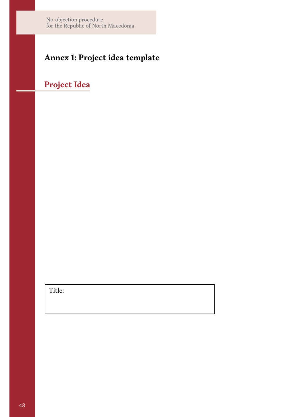# **Annex 1: Project idea template**

# **Project Idea**

Title: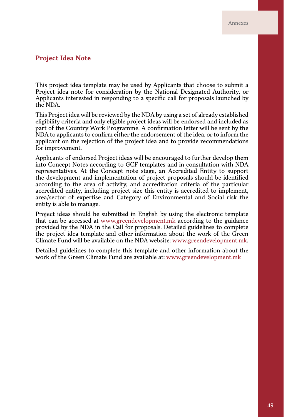# **Project Idea Note**

This project idea template may be used by Applicants that choose to submit a Project idea note for consideration by the National Designated Authority, or Applicants interested in responding to a specific call for proposals launched by the NDA.

This Project idea will be reviewed by the NDA by using a set of already established eligibility criteria and only eligible project ideas will be endorsed and included as part of the Country Work Programme. A confirmation letter will be sent by the NDA to applicants to confirm either the endorsement of the idea, or to inform the applicant on the rejection of the project idea and to provide recommendations for improvement.

Applicants of endorsed Project ideas will be encouraged to further develop them into Concept Notes according to GCF templates and in consultation with NDA representatives. At the Concept note stage, an Accredited Entity to support the development and implementation of project proposals should be identified according to the area of activity, and accreditation criteria of the particular accredited entity, including project size this entity is accredited to implement, area/sector of expertise and Category of Environmental and Social risk the entity is able to manage.

Project ideas should be submitted in English by using the electronic template that can be accessed at www.greendevelopment.mk according to the guidance provided by the NDA in the Call for proposals. Detailed guidelines to complete the project idea template and other information about the work of the Green Climate Fund will be available on the NDA website: www.greendevelopment.mk.

Detailed guidelines to complete this template and other information about the work of the Green Climate Fund are available at: www.greendevelopment.mk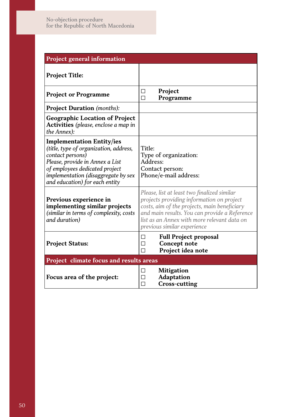| Project general information                                                                                                                                                                                                                  |                                                                                                                                                                                                                                                                         |
|----------------------------------------------------------------------------------------------------------------------------------------------------------------------------------------------------------------------------------------------|-------------------------------------------------------------------------------------------------------------------------------------------------------------------------------------------------------------------------------------------------------------------------|
| <b>Project Title:</b>                                                                                                                                                                                                                        |                                                                                                                                                                                                                                                                         |
| <b>Project or Programme</b>                                                                                                                                                                                                                  | Project<br>□<br>$\Box$<br>Programme                                                                                                                                                                                                                                     |
| <b>Project Duration</b> (months):                                                                                                                                                                                                            |                                                                                                                                                                                                                                                                         |
| <b>Geographic Location of Project</b><br>Activities (please, enclose a map in<br>the Annex):                                                                                                                                                 |                                                                                                                                                                                                                                                                         |
| <b>Implementation Entity/ies</b><br>(title, type of organization, address,<br>contact persons)<br>Please, provide in Annex a List<br>of employees dedicated project<br>implementation (disaggregate by sex<br>and education) for each entity | Title:<br>Type of organization:<br>Address:<br>Contact person:<br>Phone/e-mail address:                                                                                                                                                                                 |
| Previous experience in<br>implementing similar projects<br>(similar in terms of complexity, costs<br>and duration)                                                                                                                           | Please, list at least two finalized similar<br>projects providing information on project<br>costs, aim of the projects, main beneficiary<br>and main results. You can provide a Reference<br>list as an Annex with more relevant data on<br>previous similar experience |
| <b>Project Status:</b>                                                                                                                                                                                                                       | <b>Full Project proposal</b><br>□<br>Concept note<br>П<br>Project idea note<br>П                                                                                                                                                                                        |
| Project climate focus and results areas                                                                                                                                                                                                      |                                                                                                                                                                                                                                                                         |
| Focus area of the project:                                                                                                                                                                                                                   | <b>Mitigation</b><br>п<br><b>Adaptation</b><br>П<br>п<br>Cross-cutting                                                                                                                                                                                                  |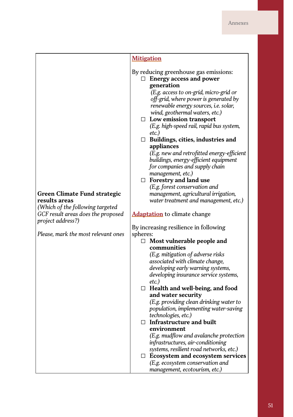|                                                                                                                                                                                     | <b>Mitigation</b>                                                                                                                                                                                                                                                                                                                                                                                                                                                                                                                                                                                                                                                                                                                                                                                                                                                                                                                                                                                                                                                                                                                                                                                                                                                                                                                                                                                                                                                                                |
|-------------------------------------------------------------------------------------------------------------------------------------------------------------------------------------|--------------------------------------------------------------------------------------------------------------------------------------------------------------------------------------------------------------------------------------------------------------------------------------------------------------------------------------------------------------------------------------------------------------------------------------------------------------------------------------------------------------------------------------------------------------------------------------------------------------------------------------------------------------------------------------------------------------------------------------------------------------------------------------------------------------------------------------------------------------------------------------------------------------------------------------------------------------------------------------------------------------------------------------------------------------------------------------------------------------------------------------------------------------------------------------------------------------------------------------------------------------------------------------------------------------------------------------------------------------------------------------------------------------------------------------------------------------------------------------------------|
| Green Climate Fund strategic<br>results areas<br>(Which of the following targeted<br>GCF result areas does the proposed<br>project address?)<br>Please, mark the most relevant ones | By reducing greenhouse gas emissions:<br>$\Box$ Energy access and power<br>generation<br>(E.g. access to on-grid, micro-grid or<br>off-grid, where power is generated by<br>renewable energy sources, <i>i.e.</i> solar,<br>wind, geothermal waters, etc.)<br>$\Box$ Low emission transport<br>(E.g. high-speed rail, rapid bus system,<br>etc.)<br>$\Box$ Buildings, cities, industries and<br>appliances<br>(E.g. new and retrofitted energy-efficient<br>buildings, energy-efficient equipment<br>for companies and supply chain<br>management, etc.)<br>$\Box$ Forestry and land use<br>(E.g. forest conservation and<br>management, agricultural irrigation,<br>water treatment and management, etc.)<br><b>Adaptation</b> to climate change<br>By increasing resilience in following<br>spheres:<br>$\Box$ Most vulnerable people and<br>communities<br>(E.g. mitigation of adverse risks<br>associated with climate change,<br>developing early warning systems,<br>developing insurance service systems,<br>etc.)<br>$\Box$ Health and well-being, and food<br>and water security<br>(E.g. providing clean drinking water to<br>population, implementing water-saving<br>technologies, etc.)<br>$\Box$ Infrastructure and built<br>environment<br>(E.g. mudflow and avalanche protection<br>infrastructures, air-conditioning<br>systems, resilient road networks, etc.)<br>$\Box$ Ecosystem and ecosystem services<br>(E.g. ecosystem conservation and<br>management, ecotourism, etc.) |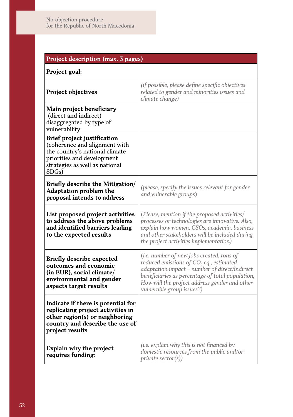| Project description (max. 3 pages)                                                                                                                                      |                                                                                                                                                                                                                                                                                     |
|-------------------------------------------------------------------------------------------------------------------------------------------------------------------------|-------------------------------------------------------------------------------------------------------------------------------------------------------------------------------------------------------------------------------------------------------------------------------------|
| Project goal:                                                                                                                                                           |                                                                                                                                                                                                                                                                                     |
| Project objectives                                                                                                                                                      | (if possible, please define specific objectives<br>related to gender and minorities issues and<br>climate change)                                                                                                                                                                   |
| Main project beneficiary<br>(direct and indirect)<br>disaggregated by type of<br>vulnerability                                                                          |                                                                                                                                                                                                                                                                                     |
| Brief project justification<br>(coherence and alignment with<br>the country's national climate<br>priorities and development<br>strategies as well as national<br>SDGs) |                                                                                                                                                                                                                                                                                     |
| Briefly describe the Mitigation/<br>Adaptation problem the<br>proposal intends to address                                                                               | (please, specify the issues relevant for gender<br>and vulnerable groups)                                                                                                                                                                                                           |
| List proposed project activities<br>to address the above problems<br>and identified barriers leading<br>to the expected results                                         | (Please, mention if the proposed activities/<br>processes or technologies are innovative. Also,<br>explain how women, CSOs, academia, business<br>and other stakeholders will be included during<br>the project activities implementation)                                          |
| <b>Briefly describe expected</b><br>outcomes and economic<br>(in EUR), social climate/<br>environmental and gender<br>aspects target results                            | (i.e. number of new jobs created, tons of<br>reduced emissions of CO <sub>2</sub> eq., estimated<br>adaptation impact - number of direct/indirect<br>beneficiaries as percentage of total population,<br>How will the project address gender and other<br>vulnerable group issues?) |
| Indicate if there is potential for<br>replicating project activities in<br>other region(s) or neighboring<br>country and describe the use of<br>project results         |                                                                                                                                                                                                                                                                                     |
| Explain why the project<br>requires funding:                                                                                                                            | (i.e. explain why this is not financed by<br>domestic resources from the public and/or<br>private sector(s))                                                                                                                                                                        |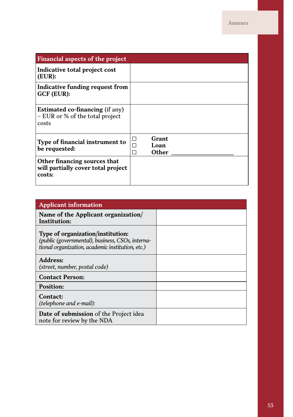| Financial aspects of the project                                                   |                             |
|------------------------------------------------------------------------------------|-----------------------------|
| Indicative total project cost<br>(EUR):                                            |                             |
| Indicative funding request from<br>GCF (EUR):                                      |                             |
| <b>Estimated co-financing (if any)</b><br>- EUR or % of the total project<br>costs |                             |
| Type of financial instrument to<br>be requested:                                   | Grant<br>П<br>Loan<br>Other |
| Other financing sources that<br>will partially cover total project<br>costs:       |                             |

| <b>Applicant information</b>                                                                                                              |  |
|-------------------------------------------------------------------------------------------------------------------------------------------|--|
| Name of the Applicant organization/<br>Institution:                                                                                       |  |
| Type of organization/institution:<br>(public (governmental), business, CSOs, interna-<br>tional organization, academic institution, etc.) |  |
| Address:<br>(street, number, postal code)                                                                                                 |  |
| <b>Contact Person:</b>                                                                                                                    |  |
| <b>Position:</b>                                                                                                                          |  |
| Contact:<br>(telephone and e-mail):                                                                                                       |  |
| Date of submission of the Project idea<br>note for review by the NDA                                                                      |  |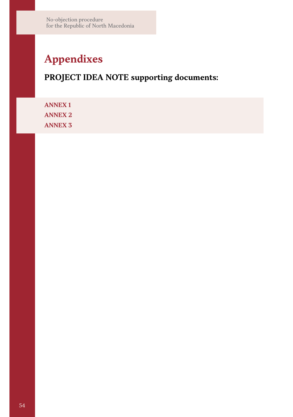# **Appendixes**

# **PROJECT IDEA NOTE supporting documents:**

**ANNEX 1 ANNEX 2 ANNEX 3**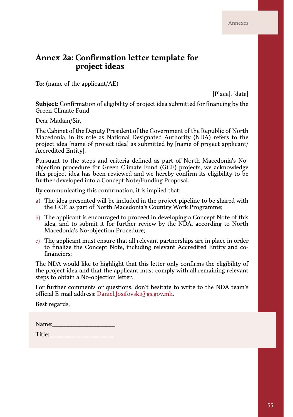# **Annex 2a: Confirmation letter template for project ideas**

**To:** (name of the applicant/AE)

[Place], [date]

**Subject:** Confirmation of eligibility of project idea submitted for financing by the Green Climate Fund

Dear Madam/Sir,

The Cabinet of the Deputy President of the Government of the Republic of North Macedonia, in its role as National Designated Authority (NDA) refers to the project idea [name of project idea] as submitted by [name of project applicant/ Accredited Entity].

Pursuant to the steps and criteria defined as part of North Macedonia's Noobjection procedure for Green Climate Fund (GCF) projects, we acknowledge this project idea has been reviewed and we hereby confirm its eligibility to be further developed into a Concept Note/Funding Proposal.

By communicating this confirmation, it is implied that:

- a) The idea presented will be included in the project pipeline to be shared with the GCF, as part of North Macedonia's Country Work Programme;
- b) The applicant is encouraged to proceed in developing a Concept Note of this idea, and to submit it for further review by the NDA, according to North Macedonia's No-objection Procedure;
- c) The applicant must ensure that all relevant partnerships are in place in order to finalize the Concept Note, including relevant Accredited Entity and cofinanciers;

The NDA would like to highlight that this letter only confirms the eligibility of the project idea and that the applicant must comply with all remaining relevant steps to obtain a No-objection letter.

For further comments or questions, don't hesitate to write to the NDA team's official E-mail address: Daniel.Josifovski@gs.gov.mk.

Best regards,

| Name:  |  |
|--------|--|
| Title: |  |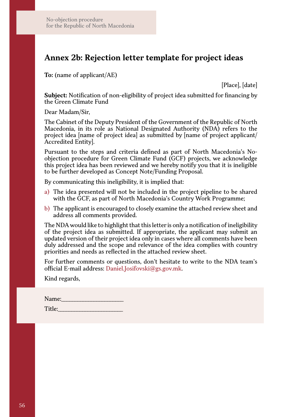# **Annex 2b: Rejection letter template for project ideas**

**To:** (name of applicant/AE)

[Place], [date]

**Subject:** Notification of non-eligibility of project idea submitted for financing by the Green Climate Fund

Dear Madam/Sir,

The Cabinet of the Deputy President of the Government of the Republic of North Macedonia, in its role as National Designated Authority (NDA) refers to the project idea [name of project idea] as submitted by [name of project applicant/ Accredited Entity].

Pursuant to the steps and criteria defined as part of North Macedonia's Noobjection procedure for Green Climate Fund (GCF) projects, we acknowledge this project idea has been reviewed and we hereby notify you that it is ineligible to be further developed as Concept Note/Funding Proposal.

By communicating this ineligibility, it is implied that:

- a) The idea presented will not be included in the project pipeline to be shared with the GCF, as part of North Macedonia's Country Work Programme;
- b) The applicant is encouraged to closely examine the attached review sheet and address all comments provided.

The NDA would like to highlight that this letter is only a notification of ineligibility of the project idea as submitted. If appropriate, the applicant may submit an updated version of their project idea only in cases where all comments have been duly addressed and the scope and relevance of the idea complies with country priorities and needs as reflected in the attached review sheet.

For further comments or questions, don't hesitate to write to the NDA team's official E-mail address: Daniel.Josifovski@gs.gov.mk.

Kind regards,

| Name:  |  |
|--------|--|
| Title: |  |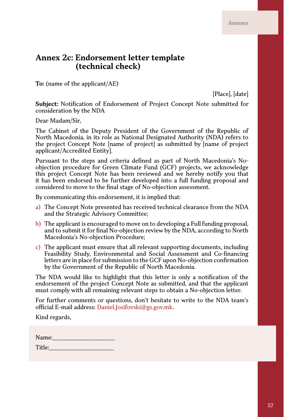# **Annex 2c: Endorsement letter template (technical check)**

**To:** (name of the applicant/AE)

[Place], [date]

**Subject:** Notification of Endorsement of Project Concept Note submitted for consideration by the NDA

Dear Madam/Sir,

The Cabinet of the Deputy President of the Government of the Republic of North Macedonia, in its role as National Designated Authority (NDA) refers to the project Concept Note [name of project] as submitted by [name of project applicant/Accredited Entity].

Pursuant to the steps and criteria defined as part of North Macedonia's Noobjection procedure for Green Climate Fund (GCF) projects, we acknowledge this project Concept Note has been reviewed and we hereby notify you that it has been endorsed to be further developed into a full funding proposal and considered to move to the final stage of No-objection assessment.

By communicating this endorsement, it is implied that:

- a) The Concept Note presented has received technical clearance from the NDA and the Strategic Advisory Committee;
- b) The applicant is encouraged to move on to developing a Full funding proposal, and to submit it for final No-objection review by the NDA, according to North Macedonia's No-objection Procedure;
- c) The applicant must ensure that all relevant supporting documents, including Feasibility Study, Environmental and Social Assessment and Co-financing letters are in place for submission to the GCF upon No-objection confirmation by the Government of the Republic of North Macedonia.

The NDA would like to highlight that this letter is only a notification of the endorsement of the project Concept Note as submitted, and that the applicant must comply with all remaining relevant steps to obtain a No-objection letter.

For further comments or questions, don't hesitate to write to the NDA team's official E-mail address: Daniel.Josifovski@gs.gov.mk.

Kind regards,

| Name:  |  |
|--------|--|
| Title: |  |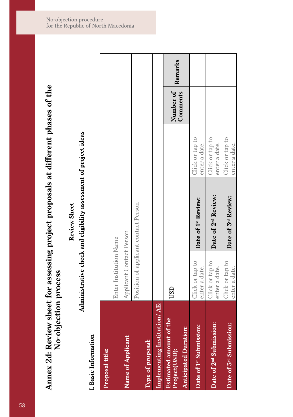# Annex 2d: Review sheet for assessing project proposals at different phases of the No-objection process **Annex 2d: Review sheet for assessing project proposals at different phases of the No-objection process**

**Review Sheet Review Sheet**

# Administrative check and eligibility assessment of project ideas **Administrative check and eligibility assessment of project ideas**

# I. Basic Information **I. Basic Information**

| Proposal title:                                    |                                  |                                      |                                  |           |         |
|----------------------------------------------------|----------------------------------|--------------------------------------|----------------------------------|-----------|---------|
|                                                    | Enter Institution Name           |                                      |                                  |           |         |
| Name of Applicant                                  | Applicant Contact Person         |                                      |                                  |           |         |
|                                                    |                                  | Position of applicant contact Person |                                  |           |         |
| Type of proposal:                                  |                                  |                                      |                                  |           |         |
| Implementing Institution/AE:                       |                                  |                                      |                                  |           |         |
| of the<br><b>Estimated amount</b><br>Project(USD): | USD                              |                                      |                                  | Number of | Remarks |
| <b>Anticipated Duration:</b>                       |                                  |                                      |                                  | Comments  |         |
| Date of 1st Submission:                            | Click or tap to<br>enter a date. | Date of 1st Review:                  | Click or tap to<br>enter a date. |           |         |
| Date of 2 <sup>nd</sup> Submission:                | Click or tap to<br>enter a date. | Date of 2 <sup>nd</sup> Review:      | Click or tap to<br>enter a date. |           |         |
| Date of 3 <sup>rd</sup> Submission:                | Click or tap to<br>enter a date. | Date of 3rd Review:                  | Click or tap to<br>enter a date. |           |         |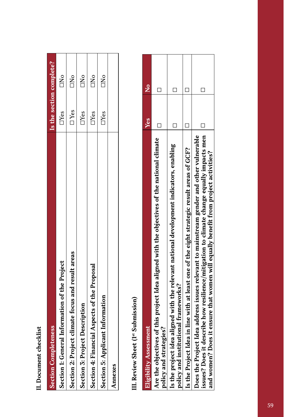| ŕ      |   |
|--------|---|
|        |   |
| ٥      |   |
| j      |   |
|        |   |
|        |   |
|        |   |
|        |   |
|        |   |
| ٢<br>؛ |   |
|        |   |
|        |   |
|        | j |
|        |   |
| ֠      |   |
|        |   |
| ì      |   |
|        |   |
|        |   |
|        |   |
|        |   |
|        |   |
|        |   |
|        |   |

| <b>Section Completeness</b>                          | Is the section complete? |                  |
|------------------------------------------------------|--------------------------|------------------|
| Information of the Project<br>Section 1: General     | $\Box$ Yes               | C <sub>NO</sub>  |
| climate focus and result areas<br>Section 2: Project | $\Box$ Yes               | $\sum_{i=1}^{n}$ |
| Description<br>Section 3: Project I                  | $\Box$ Yes               | $\sum_{i=1}^{n}$ |
| Section 4: Financial Aspects of the Proposal         | $\Box$ Yes               | $\Box$ No        |
| Section 5: Applicant Information                     | $\Box$ Yes               | $\sum_{i=1}^{n}$ |
| Annexes                                              |                          |                  |
|                                                      |                          |                  |

III. Review Sheet (1st Submission) **III. Review Sheet (1st Submission)**

| <b>Eligibility Assessment</b>                                                                                                                                                                                                                                             | Yes | $\frac{c}{Z}$ |
|---------------------------------------------------------------------------------------------------------------------------------------------------------------------------------------------------------------------------------------------------------------------------|-----|---------------|
| Are the objectives of this project Idea aligned with the objectives of the national climate<br>es?                                                                                                                                                                        |     |               |
| policy and strategi                                                                                                                                                                                                                                                       |     |               |
| aligned with the relevant national development indicators, enabling<br>policy and institutional frameworks?<br>Is the project idea                                                                                                                                        |     |               |
| Is the Project Idea in line with at least one of the eight strategic result areas of GCF?                                                                                                                                                                                 |     |               |
| issues? Does it describe how resilience/mitigation to climate change equally impacts men<br>Does the Project Idea address issues relevant to mainstream gender and other vulnerable<br>and women? Does it ensure that women will equally benefit from project activities? |     |               |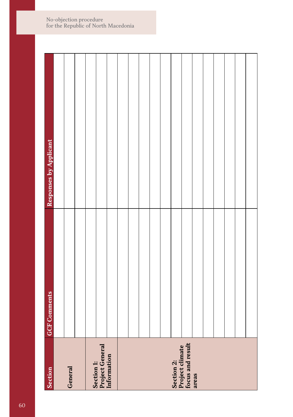| Section                                                    | <b>GCF Comments</b> | Responses by Applicant |
|------------------------------------------------------------|---------------------|------------------------|
|                                                            |                     |                        |
| General                                                    |                     |                        |
|                                                            |                     |                        |
|                                                            |                     |                        |
| Section 1:<br>Project General<br>Information               |                     |                        |
|                                                            |                     |                        |
|                                                            |                     |                        |
|                                                            |                     |                        |
|                                                            |                     |                        |
|                                                            |                     |                        |
|                                                            |                     |                        |
|                                                            |                     |                        |
| Section 2:<br>Project climate<br>focus and result<br>areas |                     |                        |
|                                                            |                     |                        |
|                                                            |                     |                        |
|                                                            |                     |                        |
|                                                            |                     |                        |
|                                                            |                     |                        |
|                                                            |                     |                        |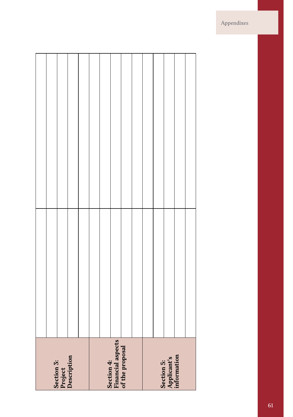| Section 3:<br>Project<br>Description               |  |
|----------------------------------------------------|--|
|                                                    |  |
|                                                    |  |
|                                                    |  |
|                                                    |  |
| Section 4:<br>Financial aspects<br>of the proposal |  |
|                                                    |  |
|                                                    |  |
|                                                    |  |
|                                                    |  |
| Section 5:<br>Applicant's<br>information           |  |
|                                                    |  |
|                                                    |  |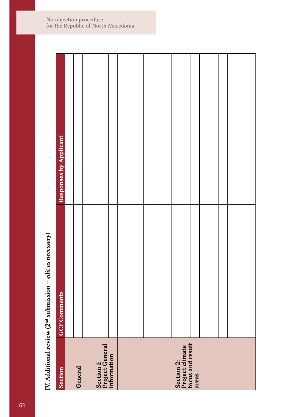IV. Additional review (2<sup>nd</sup> submission - edit as necessary) **IV. Additional review (2nd submission –** *edit as necessary***)**

| Section                                           | <b>GCF</b> Comments | Responses by Applicant |
|---------------------------------------------------|---------------------|------------------------|
|                                                   |                     |                        |
| General                                           |                     |                        |
|                                                   |                     |                        |
|                                                   |                     |                        |
| Section 1:<br>Project General<br>Information      |                     |                        |
|                                                   |                     |                        |
|                                                   |                     |                        |
|                                                   |                     |                        |
|                                                   |                     |                        |
|                                                   |                     |                        |
|                                                   |                     |                        |
|                                                   |                     |                        |
|                                                   |                     |                        |
| Section 2:<br>Project climate<br>focus and result |                     |                        |
| areas                                             |                     |                        |
|                                                   |                     |                        |
|                                                   |                     |                        |
|                                                   |                     |                        |
|                                                   |                     |                        |
|                                                   |                     |                        |
|                                                   |                     |                        |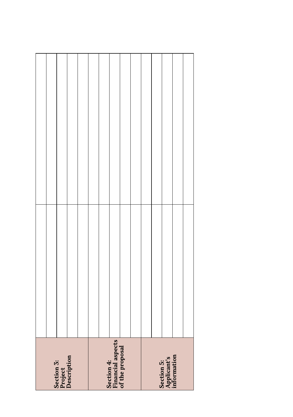| Section 3:<br>Project<br>Description               |  |
|----------------------------------------------------|--|
|                                                    |  |
|                                                    |  |
|                                                    |  |
|                                                    |  |
| Section 4:<br>Financial aspects<br>of the proposal |  |
|                                                    |  |
|                                                    |  |
|                                                    |  |
|                                                    |  |
| Section 5:<br>Applicant's<br>information           |  |
|                                                    |  |
|                                                    |  |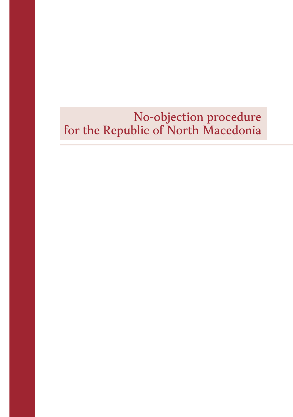## No-objection procedure for the Republic of North Macedonia